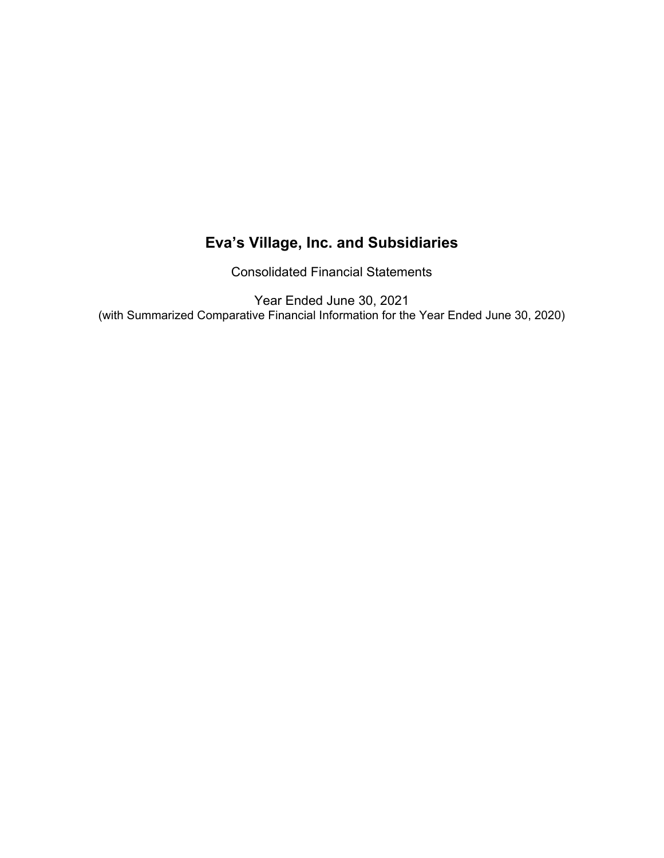Consolidated Financial Statements

Year Ended June 30, 2021 (with Summarized Comparative Financial Information for the Year Ended June 30, 2020)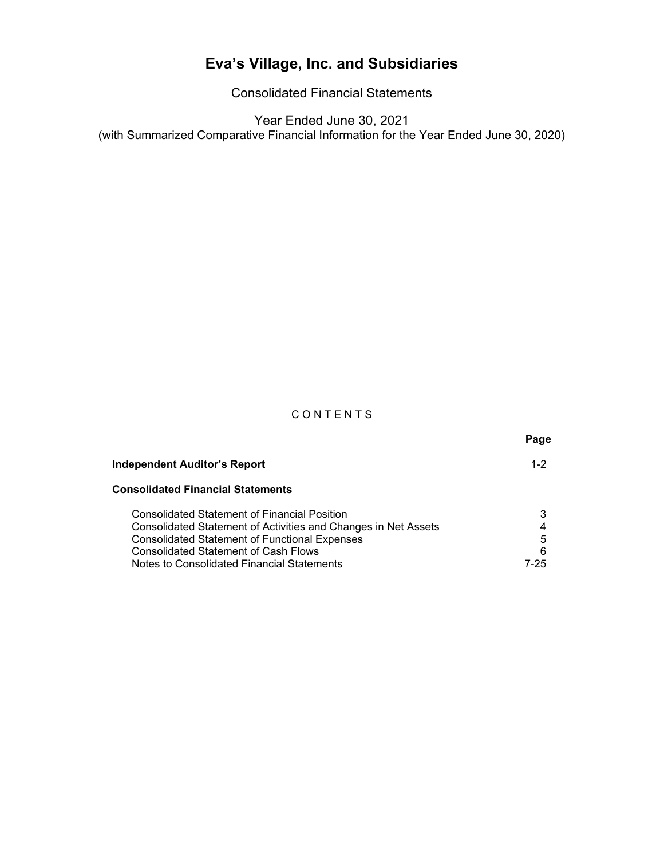Consolidated Financial Statements

Year Ended June 30, 2021 (with Summarized Comparative Financial Information for the Year Ended June 30, 2020)

### **CONTENTS**

|                                                                                                                                                                                                                                                                            | Page                |
|----------------------------------------------------------------------------------------------------------------------------------------------------------------------------------------------------------------------------------------------------------------------------|---------------------|
| <b>Independent Auditor's Report</b>                                                                                                                                                                                                                                        | $1 - 2$             |
| <b>Consolidated Financial Statements</b>                                                                                                                                                                                                                                   |                     |
| <b>Consolidated Statement of Financial Position</b><br>Consolidated Statement of Activities and Changes in Net Assets<br><b>Consolidated Statement of Functional Expenses</b><br><b>Consolidated Statement of Cash Flows</b><br>Notes to Consolidated Financial Statements | 3<br>5<br>6<br>7-25 |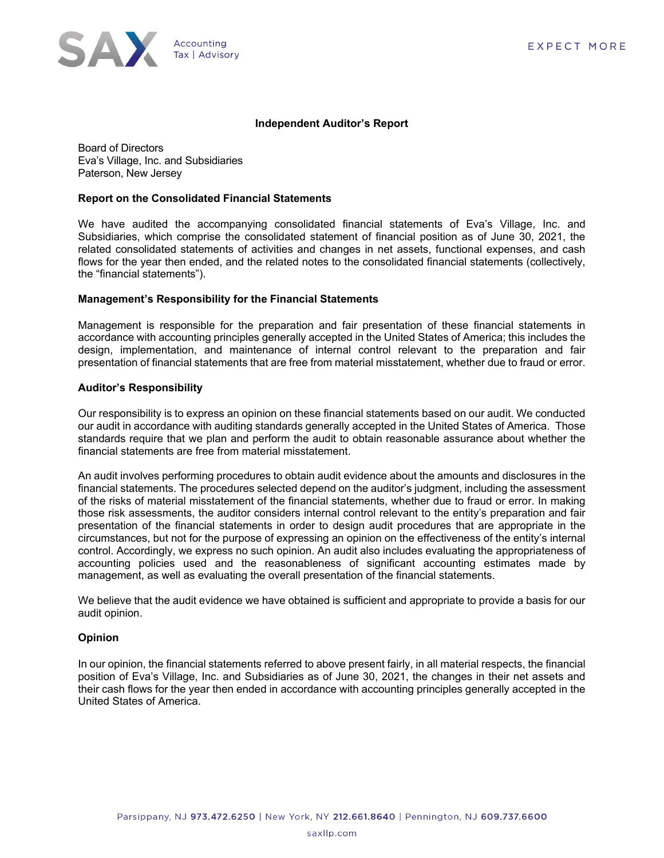

#### **Independent Auditor's Report**

Board of Directors Eva's Village, Inc. and Subsidiaries Paterson, New Jersey

#### **Report on the Consolidated Financial Statements**

We have audited the accompanying consolidated financial statements of Eva's Village, Inc. and Subsidiaries, which comprise the consolidated statement of financial position as of June 30, 2021, the related consolidated statements of activities and changes in net assets, functional expenses, and cash flows for the year then ended, and the related notes to the consolidated financial statements (collectively, the "financial statements").

#### **Management's Responsibility for the Financial Statements**

Management is responsible for the preparation and fair presentation of these financial statements in accordance with accounting principles generally accepted in the United States of America; this includes the design, implementation, and maintenance of internal control relevant to the preparation and fair presentation of financial statements that are free from material misstatement, whether due to fraud or error.

#### **Auditor's Responsibility**

Our responsibility is to express an opinion on these financial statements based on our audit. We conducted our audit in accordance with auditing standards generally accepted in the United States of America. Those standards require that we plan and perform the audit to obtain reasonable assurance about whether the financial statements are free from material misstatement.

An audit involves performing procedures to obtain audit evidence about the amounts and disclosures in the financial statements. The procedures selected depend on the auditor's judgment, including the assessment of the risks of material misstatement of the financial statements, whether due to fraud or error. In making those risk assessments, the auditor considers internal control relevant to the entity's preparation and fair presentation of the financial statements in order to design audit procedures that are appropriate in the circumstances, but not for the purpose of expressing an opinion on the effectiveness of the entity's internal control. Accordingly, we express no such opinion. An audit also includes evaluating the appropriateness of accounting policies used and the reasonableness of significant accounting estimates made by management, as well as evaluating the overall presentation of the financial statements.

We believe that the audit evidence we have obtained is sufficient and appropriate to provide a basis for our audit opinion.

#### **Opinion**

In our opinion, the financial statements referred to above present fairly, in all material respects, the financial position of Eva's Village, Inc. and Subsidiaries as of June 30, 2021, the changes in their net assets and their cash flows for the year then ended in accordance with accounting principles generally accepted in the United States of America.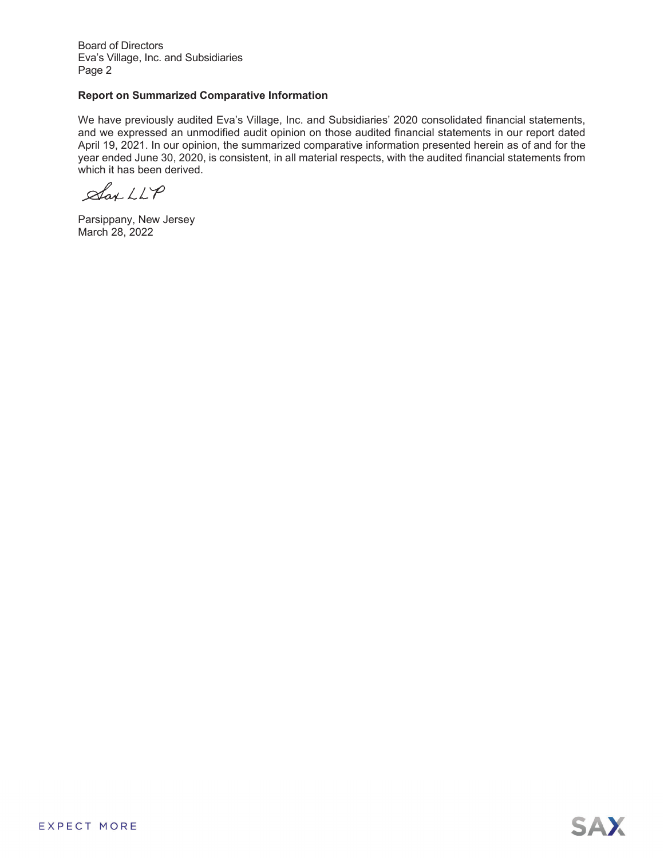Board of Directors Eva's Village, Inc. and Subsidiaries Page 2

#### **Report on Summarized Comparative Information**

We have previously audited Eva's Village, Inc. and Subsidiaries' 2020 consolidated financial statements, and we expressed an unmodified audit opinion on those audited financial statements in our report dated April 19, 2021. In our opinion, the summarized comparative information presented herein as of and for the year ended June 30, 2020, is consistent, in all material respects, with the audited financial statements from which it has been derived.

 $\mathcal{A}_{\alpha\kappa}$  LLP

Parsippany, New Jersey March 28, 2022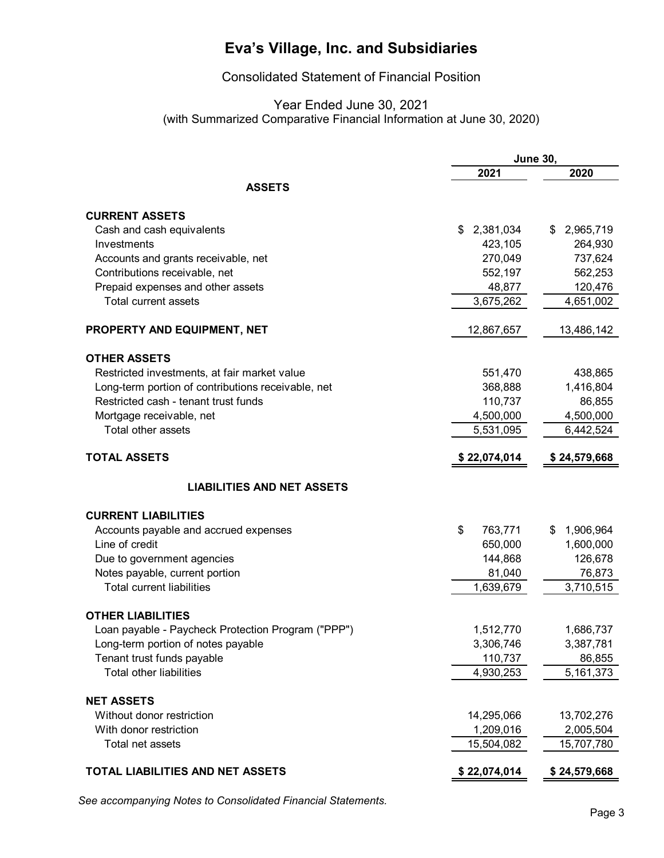### Consolidated Statement of Financial Position

### Year Ended June 30, 2021 (with Summarized Comparative Financial Information at June 30, 2020)

|                                                    |                 | <b>June 30,</b> |
|----------------------------------------------------|-----------------|-----------------|
|                                                    | 2021            | 2020            |
| <b>ASSETS</b>                                      |                 |                 |
|                                                    |                 |                 |
| <b>CURRENT ASSETS</b>                              |                 |                 |
| Cash and cash equivalents                          | 2,381,034<br>\$ | 2,965,719<br>\$ |
| Investments                                        | 423,105         | 264,930         |
| Accounts and grants receivable, net                | 270,049         | 737,624         |
| Contributions receivable, net                      | 552,197         | 562,253         |
| Prepaid expenses and other assets                  | 48,877          | 120,476         |
| <b>Total current assets</b>                        | 3,675,262       | 4,651,002       |
| PROPERTY AND EQUIPMENT, NET                        | 12,867,657      | 13,486,142      |
| <b>OTHER ASSETS</b>                                |                 |                 |
| Restricted investments, at fair market value       | 551,470         | 438,865         |
| Long-term portion of contributions receivable, net | 368,888         | 1,416,804       |
| Restricted cash - tenant trust funds               | 110,737         | 86,855          |
| Mortgage receivable, net                           | 4,500,000       | 4,500,000       |
| Total other assets                                 | 5,531,095       | 6,442,524       |
| <b>TOTAL ASSETS</b>                                |                 |                 |
|                                                    | \$22,074,014    | \$24,579,668    |
| <b>LIABILITIES AND NET ASSETS</b>                  |                 |                 |
| <b>CURRENT LIABILITIES</b>                         |                 |                 |
| Accounts payable and accrued expenses              | \$<br>763,771   | 1,906,964<br>\$ |
| Line of credit                                     | 650,000         | 1,600,000       |
| Due to government agencies                         | 144,868         | 126,678         |
| Notes payable, current portion                     | 81,040          | 76,873          |
| <b>Total current liabilities</b>                   | 1,639,679       | 3,710,515       |
| <b>OTHER LIABILITIES</b>                           |                 |                 |
| Loan payable - Paycheck Protection Program ("PPP") | 1,512,770       | 1,686,737       |
| Long-term portion of notes payable                 | 3,306,746       | 3,387,781       |
| Tenant trust funds payable                         | 110,737         | 86,855          |
| <b>Total other liabilities</b>                     | 4,930,253       | 5,161,373       |
| <b>NET ASSETS</b>                                  |                 |                 |
| Without donor restriction                          | 14,295,066      | 13,702,276      |
| With donor restriction                             | 1,209,016       | 2,005,504       |
| Total net assets                                   | 15,504,082      | 15,707,780      |
|                                                    |                 |                 |
| TOTAL LIABILITIES AND NET ASSETS                   | \$22,074,014    | \$24,579,668    |

*See accompanying Notes to Consolidated Financial Statements.*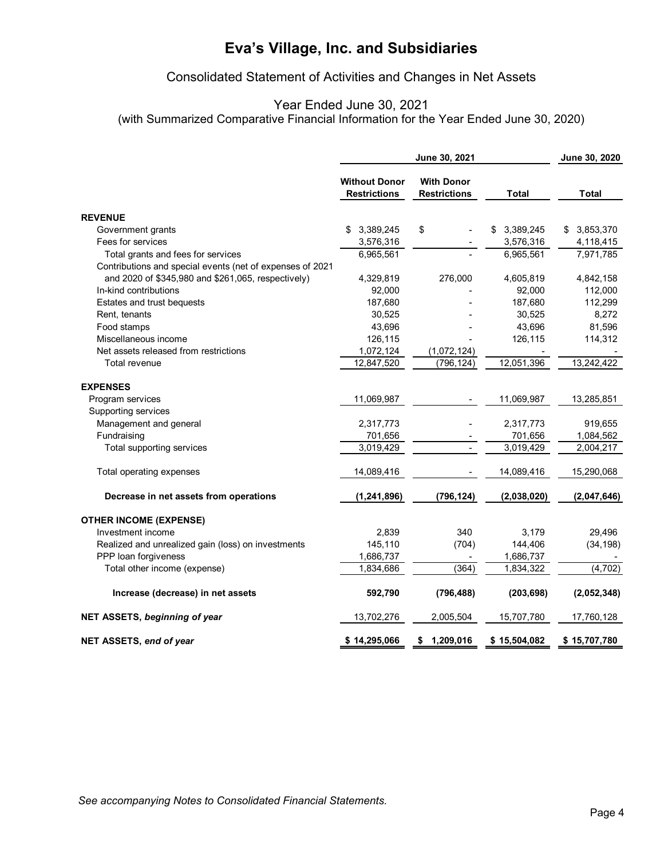### Consolidated Statement of Activities and Changes in Net Assets

### Year Ended June 30, 2021

(with Summarized Comparative Financial Information for the Year Ended June 30, 2020)

|                                                           |                                             | June 30, 2021                            |                 | June 30, 2020 |
|-----------------------------------------------------------|---------------------------------------------|------------------------------------------|-----------------|---------------|
|                                                           | <b>Without Donor</b><br><b>Restrictions</b> | <b>With Donor</b><br><b>Restrictions</b> | <b>Total</b>    | <b>Total</b>  |
| <b>REVENUE</b>                                            |                                             |                                          |                 |               |
| Government grants                                         | 3,389,245<br>\$                             | \$                                       | 3,389,245<br>\$ | \$3,853,370   |
| Fees for services                                         | 3,576,316                                   |                                          | 3,576,316       | 4,118,415     |
| Total grants and fees for services                        | 6,965,561                                   |                                          | 6,965,561       | 7,971,785     |
| Contributions and special events (net of expenses of 2021 |                                             |                                          |                 |               |
| and 2020 of \$345,980 and \$261,065, respectively)        | 4,329,819                                   | 276,000                                  | 4,605,819       | 4,842,158     |
| In-kind contributions                                     | 92,000                                      |                                          | 92,000          | 112,000       |
| Estates and trust bequests                                | 187,680                                     |                                          | 187,680         | 112,299       |
| Rent, tenants                                             | 30,525                                      |                                          | 30,525          | 8,272         |
| Food stamps                                               | 43,696                                      |                                          | 43,696          | 81,596        |
| Miscellaneous income                                      | 126,115                                     |                                          | 126,115         | 114,312       |
| Net assets released from restrictions                     | 1,072,124                                   | (1,072,124)                              |                 |               |
| Total revenue                                             | 12,847,520                                  | (796, 124)                               | 12,051,396      | 13,242,422    |
| <b>EXPENSES</b>                                           |                                             |                                          |                 |               |
| Program services                                          | 11,069,987                                  |                                          | 11,069,987      | 13,285,851    |
| Supporting services                                       |                                             |                                          |                 |               |
| Management and general                                    | 2,317,773                                   |                                          | 2,317,773       | 919,655       |
| Fundraising                                               | 701,656                                     |                                          | 701,656         | 1,084,562     |
| Total supporting services                                 | 3,019,429                                   |                                          | 3,019,429       | 2,004,217     |
| Total operating expenses                                  | 14,089,416                                  |                                          | 14,089,416      | 15,290,068    |
| Decrease in net assets from operations                    | (1, 241, 896)                               | (796, 124)                               | (2,038,020)     | (2,047,646)   |
| <b>OTHER INCOME (EXPENSE)</b>                             |                                             |                                          |                 |               |
| Investment income                                         | 2,839                                       | 340                                      | 3,179           | 29,496        |
| Realized and unrealized gain (loss) on investments        | 145,110                                     | (704)                                    | 144,406         | (34, 198)     |
| PPP loan forgiveness                                      | 1,686,737                                   |                                          | 1,686,737       |               |
| Total other income (expense)                              | 1,834,686                                   | (364)                                    | 1,834,322       | (4,702)       |
| Increase (decrease) in net assets                         | 592,790                                     | (796, 488)                               | (203, 698)      | (2,052,348)   |
| NET ASSETS, beginning of year                             | 13,702,276                                  | 2,005,504                                | 15,707,780      | 17,760,128    |
| NET ASSETS, end of year                                   | \$14,295,066                                | 1,209,016<br>\$                          | \$15,504,082    | \$15,707,780  |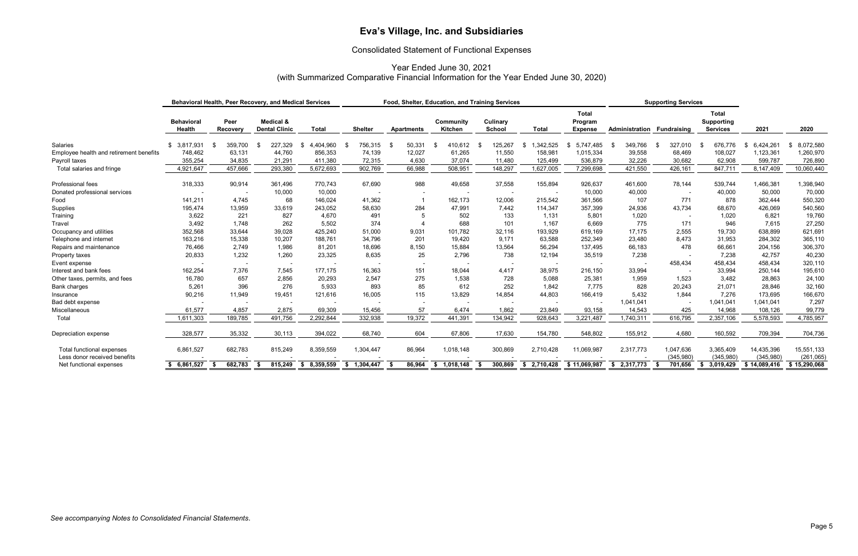### Consolidated Statement of Functional Expenses

Year Ended June 30, 2021 (with Summarized Comparative Financial Information for the Year Ended June 30, 2020)

|                                                           |                                    |                  | Behavioral Health, Peer Recovery, and Medical Services |                   |                 |                   | Food, Shelter, Education, and Training Services |                          |                          |                                           |                | <b>Supporting Services</b> |                                                      |                         |                         |
|-----------------------------------------------------------|------------------------------------|------------------|--------------------------------------------------------|-------------------|-----------------|-------------------|-------------------------------------------------|--------------------------|--------------------------|-------------------------------------------|----------------|----------------------------|------------------------------------------------------|-------------------------|-------------------------|
|                                                           | <b>Behavioral</b><br><b>Health</b> | Peer<br>Recovery | Medical &<br><b>Dental Clinic</b>                      | <b>Total</b>      | <b>Shelter</b>  | <b>Apartments</b> | Community<br><b>Kitchen</b>                     | Culinary<br>School       | <b>Total</b>             | <b>Total</b><br>Program<br><b>Expense</b> | Administration | Fundraising                | <b>Total</b><br><b>Supporting</b><br><b>Services</b> | 2021                    | 2020                    |
| <b>Salaries</b>                                           | \$3,817,931                        | 359,700<br>- \$  | 227,329                                                | 4,404,960<br>- \$ | 756,315<br>- \$ | 50,331            | 410,612<br>-S                                   | 125,267<br>-96           | 1.342.525<br>\$.         | 5,747,485                                 | 349,766<br>-86 | 327,010<br>- \$            | 676.776                                              | 6,424,261<br>- \$       | 8,072,580               |
| Employee health and retirement benefits                   | 748,462                            | 63,131           | 44,760                                                 | 856,353           | 74,139          | 12,027            | 61,265                                          | 11,550                   | 158,981                  | 1,015,334                                 | 39,558         | 68,469                     | 108,027                                              | 1,123,361               | 1,260,970               |
| Payroll taxes                                             | 355,254                            | 34,835           | 21,291                                                 | 411,380           | 72,315          | 4,630             | 37,074                                          | 11,480                   | 125,499                  | 536,879                                   | 32,226         | 30,682                     | 62,908                                               | 599,787                 | 726,890                 |
| Total salaries and fringe                                 | 4,921,647                          | 457,666          | 293,380                                                | 5,672,693         | 902,769         | 66,988            | 508,951                                         | 148,297                  | 1,627,005                | 7,299,698                                 | 421,550        | 426,161                    | 847,711                                              | 8,147,409               | 10,060,440              |
| Professional fees                                         | 318,333                            | 90,914           | 361,496                                                | 770,743           | 67,690          | 988               | 49,658                                          | 37,558                   | 155,894                  | 926,637                                   | 461,600        | 78,144                     | 539,744                                              | 1,466,381               | 1,398,940               |
| Donated professional services                             | $\overline{a}$                     |                  | 10,000                                                 | 10,000            |                 |                   | $\overline{\phantom{a}}$                        | $\overline{\phantom{a}}$ | $\overline{\phantom{a}}$ | 10,000                                    | 40,000         | $\overline{\phantom{a}}$   | 40,000                                               | 50,000                  | 70,000                  |
| Food                                                      | 141,211                            | 4,745            | 68                                                     | 146,024           | 41,362          |                   | 162,173                                         | 12,006                   | 215,542                  | 361,566                                   | 107            | 771                        | 878                                                  | 362,444                 | 550,320                 |
| Supplies                                                  | 195,474                            | 13,959           | 33,619                                                 | 243,052           | 58,630          | 284               | 47,991                                          | 7,442                    | 114,347                  | 357,399                                   | 24,936         | 43,734                     | 68,670                                               | 426,069                 | 540,560                 |
| Training                                                  | 3,622                              | 221              | 827                                                    | 4,670             | 491             | .5                | 502                                             | 133                      | 1,131                    | 5,801                                     | 1,020          |                            | 1,020                                                | 6,821                   | 19,760                  |
| Travel                                                    | 3,492                              | 1,748            | 262                                                    | 5,502             | 374             |                   | 688                                             | 101                      | 1,167                    | 6,669                                     | 775            | 171                        | 946                                                  | 7,615                   | 27,250                  |
| Occupancy and utilities                                   | 352,568                            | 33,644           | 39,028                                                 | 425,240           | 51,000          | 9,031             | 101,782                                         | 32,116                   | 193,929                  | 619,169                                   | 17,175         | 2,555                      | 19,730                                               | 638,899                 | 621,691                 |
| Telephone and internet                                    | 163,216                            | 15,338           | 10,207                                                 | 188,761           | 34,796          | 201               | 19,420                                          | 9,171                    | 63,588                   | 252,349                                   | 23,480         | 8,473                      | 31,953                                               | 284,302                 | 365,110                 |
| Repairs and maintenance                                   | 76,466                             | 2,749            | 1,986                                                  | 81,201            | 18,696          | 8,150             | 15,884                                          | 13,564                   | 56,294                   | 137,495                                   | 66,183         | 478                        | 66,661                                               | 204,156                 | 306,370                 |
| Property taxes                                            | 20,833                             | 1,232            | 1,260                                                  | 23,325            | 8,635           | 25                | 2,796                                           | 738                      | 12,194                   | 35,519                                    | 7,238          |                            | 7,238                                                | 42,757                  | 40,230                  |
| Event expense                                             | <b>.</b>                           |                  |                                                        |                   |                 |                   |                                                 | $\overline{\phantom{a}}$ | $\overline{\phantom{a}}$ |                                           |                | 458,434                    | 458,434                                              | 458,434                 | 320,110                 |
| Interest and bank fees                                    | 162,254                            | 7,376            | 7,545                                                  | 177,175           | 16,363          | 151               | 18,044                                          | 4,417                    | 38,975                   | 216,150                                   | 33,994         |                            | 33,994                                               | 250,144                 | 195,610                 |
| Other taxes, permits, and fees                            | 16,780                             | 657              | 2,856                                                  | 20,293            | 2,547           | 275               | 1,538                                           | 728                      | 5,088                    | 25,381                                    | 1,959          | 1,523                      | 3,482                                                | 28,863                  | 24,100                  |
| Bank charges                                              | 5,261                              | 396              | 276                                                    | 5,933             | 893             | 85                | 612                                             | 252                      | 1,842                    | 7,775                                     | 828            | 20,243                     | 21,071                                               | 28,846                  | 32,160                  |
| Insurance                                                 | 90,216                             | 11,949           | 19,451                                                 | 121,616           | 16,005          | 115               | 13,829                                          | 14,854                   | 44,803                   | 166,419                                   | 5,432          | 1,844                      | 7,276                                                | 173,695                 | 166,670                 |
| Bad debt expense                                          |                                    |                  |                                                        |                   |                 |                   |                                                 |                          |                          |                                           | 1,041,041      | $\overline{\phantom{a}}$   | 1,041,041                                            | 1,041,041               | 7,297                   |
| Miscellaneous                                             | 61,577                             | 4,857            | 2,875                                                  | 69,309            | 15,456          | 57                | 6,474                                           | 1,862                    | 23,849                   | 93,158                                    | 14,543         | 425                        | 14,968                                               | 108,126                 | 99,779                  |
| Total                                                     | 1,611,303                          | 189,785          | 491,756                                                | 2,292,844         | 332,938         | 19,372            | 441,391                                         | 134,942                  | 928,643                  | 3,221,487                                 | 1,740,311      | 616,795                    | 2,357,106                                            | 5,578,593               | 4,785,957               |
| Depreciation expense                                      | 328,577                            | 35,332           | 30,113                                                 | 394,022           | 68,740          | 604               | 67,806                                          | 17,630                   | 154,780                  | 548,802                                   | 155,912        | 4,680                      | 160,592                                              | 709,394                 | 704,736                 |
| Total functional expenses<br>Less donor received benefits | 6,861,527                          | 682,783          | 815,249                                                | 8,359,559         | 1,304,447       | 86,964            | 1,018,148                                       | 300,869                  | 2,710,428                | 11,069,987                                | 2,317,773      | 1,047,636<br>(345,980)     | 3,365,409<br>(345, 980)                              | 14,435,396<br>(345,980) | 15,551,133<br>(261,065) |
| Net functional expenses                                   | \$6,861,527                        | 682,783          | 815,249<br>- S                                         | \$8,359,559       | \$1,304,447     | 86,964<br>- 55    | \$1,018,148                                     | 300,869<br>\$            | \$2,710,428              | \$11,069,987                              | \$2,317,773    | 701,656<br>- \$            | \$3,019,429                                          | \$14,089,416            | \$15,290,068            |
|                                                           |                                    |                  |                                                        |                   |                 |                   |                                                 |                          |                          |                                           |                |                            |                                                      |                         |                         |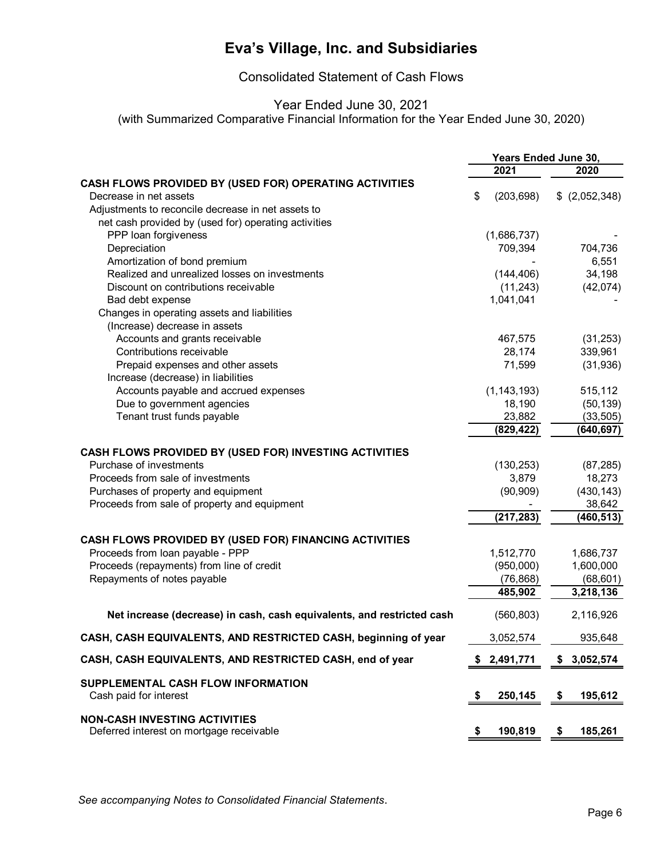Consolidated Statement of Cash Flows

### Year Ended June 30, 2021

(with Summarized Comparative Financial Information for the Year Ended June 30, 2020)

|                                                                                  |    | Years Ended June 30, |                 |
|----------------------------------------------------------------------------------|----|----------------------|-----------------|
|                                                                                  |    | 2021                 | 2020            |
| CASH FLOWS PROVIDED BY (USED FOR) OPERATING ACTIVITIES                           |    |                      |                 |
| Decrease in net assets                                                           | \$ | (203, 698)           | $$$ (2,052,348) |
| Adjustments to reconcile decrease in net assets to                               |    |                      |                 |
| net cash provided by (used for) operating activities                             |    |                      |                 |
| PPP loan forgiveness                                                             |    | (1,686,737)          |                 |
| Depreciation                                                                     |    | 709,394              | 704,736         |
| Amortization of bond premium                                                     |    |                      | 6,551           |
| Realized and unrealized losses on investments                                    |    | (144, 406)           | 34,198          |
| Discount on contributions receivable                                             |    | (11,243)             | (42,074)        |
| Bad debt expense                                                                 |    | 1,041,041            |                 |
| Changes in operating assets and liabilities                                      |    |                      |                 |
| (Increase) decrease in assets                                                    |    |                      |                 |
| Accounts and grants receivable                                                   |    | 467,575              | (31, 253)       |
| Contributions receivable                                                         |    | 28,174               | 339,961         |
| Prepaid expenses and other assets                                                |    | 71,599               | (31, 936)       |
| Increase (decrease) in liabilities                                               |    |                      |                 |
| Accounts payable and accrued expenses                                            |    | (1, 143, 193)        | 515,112         |
| Due to government agencies                                                       |    | 18,190               | (50, 139)       |
| Tenant trust funds payable                                                       |    | 23,882               | (33, 505)       |
|                                                                                  |    | (829, 422)           | (640,697)       |
|                                                                                  |    |                      |                 |
| CASH FLOWS PROVIDED BY (USED FOR) INVESTING ACTIVITIES                           |    |                      |                 |
| Purchase of investments                                                          |    | (130, 253)           | (87, 285)       |
| Proceeds from sale of investments                                                |    | 3,879                | 18,273          |
| Purchases of property and equipment                                              |    | (90, 909)            | (430, 143)      |
| Proceeds from sale of property and equipment                                     |    |                      | 38,642          |
|                                                                                  |    | (217, 283)           | (460, 513)      |
| CASH FLOWS PROVIDED BY (USED FOR) FINANCING ACTIVITIES                           |    |                      |                 |
| Proceeds from loan payable - PPP                                                 |    | 1,512,770            | 1,686,737       |
| Proceeds (repayments) from line of credit                                        |    | (950,000)            | 1,600,000       |
| Repayments of notes payable                                                      |    | (76, 868)            | (68, 601)       |
|                                                                                  |    | 485,902              | 3,218,136       |
|                                                                                  |    |                      |                 |
| Net increase (decrease) in cash, cash equivalents, and restricted cash           |    | (560, 803)           | 2,116,926       |
| CASH, CASH EQUIVALENTS, AND RESTRICTED CASH, beginning of year                   |    | 3,052,574            | 935,648         |
| CASH, CASH EQUIVALENTS, AND RESTRICTED CASH, end of year                         |    | 2,491,771            | \$3,052,574     |
| SUPPLEMENTAL CASH FLOW INFORMATION<br>Cash paid for interest                     | \$ | 250,145              | \$<br>195,612   |
| <b>NON-CASH INVESTING ACTIVITIES</b><br>Deferred interest on mortgage receivable | P. | 190,819              | \$<br>185,261   |

*See accompanying Notes to Consolidated Financial Statements*.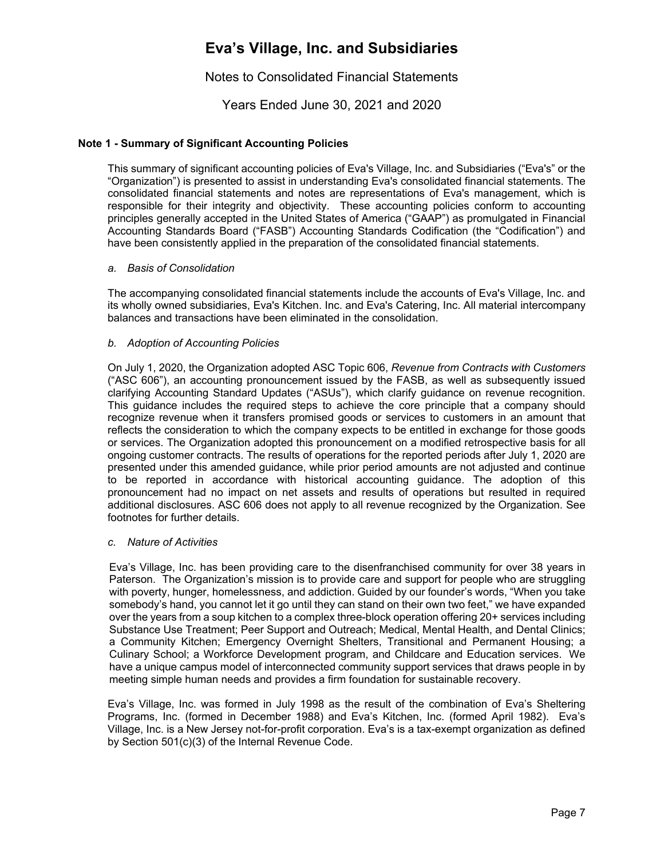### Notes to Consolidated Financial Statements

Years Ended June 30, 2021 and 2020

#### **Note 1 - Summary of Significant Accounting Policies**

This summary of significant accounting policies of Eva's Village, Inc. and Subsidiaries ("Eva's" or the "Organization") is presented to assist in understanding Eva's consolidated financial statements. The consolidated financial statements and notes are representations of Eva's management, which is responsible for their integrity and objectivity. These accounting policies conform to accounting principles generally accepted in the United States of America ("GAAP") as promulgated in Financial Accounting Standards Board ("FASB") Accounting Standards Codification (the "Codification") and have been consistently applied in the preparation of the consolidated financial statements.

#### *a. Basis of Consolidation*

The accompanying consolidated financial statements include the accounts of Eva's Village, Inc. and its wholly owned subsidiaries, Eva's Kitchen. Inc. and Eva's Catering, Inc. All material intercompany balances and transactions have been eliminated in the consolidation.

#### *b. Adoption of Accounting Policies*

On July 1, 2020, the Organization adopted ASC Topic 606, *Revenue from Contracts with Customers* ("ASC 606"), an accounting pronouncement issued by the FASB, as well as subsequently issued clarifying Accounting Standard Updates ("ASUs"), which clarify guidance on revenue recognition. This guidance includes the required steps to achieve the core principle that a company should recognize revenue when it transfers promised goods or services to customers in an amount that reflects the consideration to which the company expects to be entitled in exchange for those goods or services. The Organization adopted this pronouncement on a modified retrospective basis for all ongoing customer contracts. The results of operations for the reported periods after July 1, 2020 are presented under this amended guidance, while prior period amounts are not adjusted and continue to be reported in accordance with historical accounting guidance. The adoption of this pronouncement had no impact on net assets and results of operations but resulted in required additional disclosures. ASC 606 does not apply to all revenue recognized by the Organization. See footnotes for further details.

#### *c. Nature of Activities*

Eva's Village, Inc. has been providing care to the disenfranchised community for over 38 years in Paterson. The Organization's mission is to provide care and support for people who are struggling with poverty, hunger, homelessness, and addiction. Guided by our founder's words, "When you take somebody's hand, you cannot let it go until they can stand on their own two feet," we have expanded over the years from a soup kitchen to a complex three-block operation offering 20+ services including Substance Use Treatment; Peer Support and Outreach; Medical, Mental Health, and Dental Clinics; a Community Kitchen; Emergency Overnight Shelters, Transitional and Permanent Housing; a Culinary School; a Workforce Development program, and Childcare and Education services. We have a unique campus model of interconnected community support services that draws people in by meeting simple human needs and provides a firm foundation for sustainable recovery.

Eva's Village, Inc. was formed in July 1998 as the result of the combination of Eva's Sheltering Programs, Inc. (formed in December 1988) and Eva's Kitchen, Inc. (formed April 1982). Eva's Village, Inc. is a New Jersey not-for-profit corporation. Eva's is a tax-exempt organization as defined by Section 501(c)(3) of the Internal Revenue Code.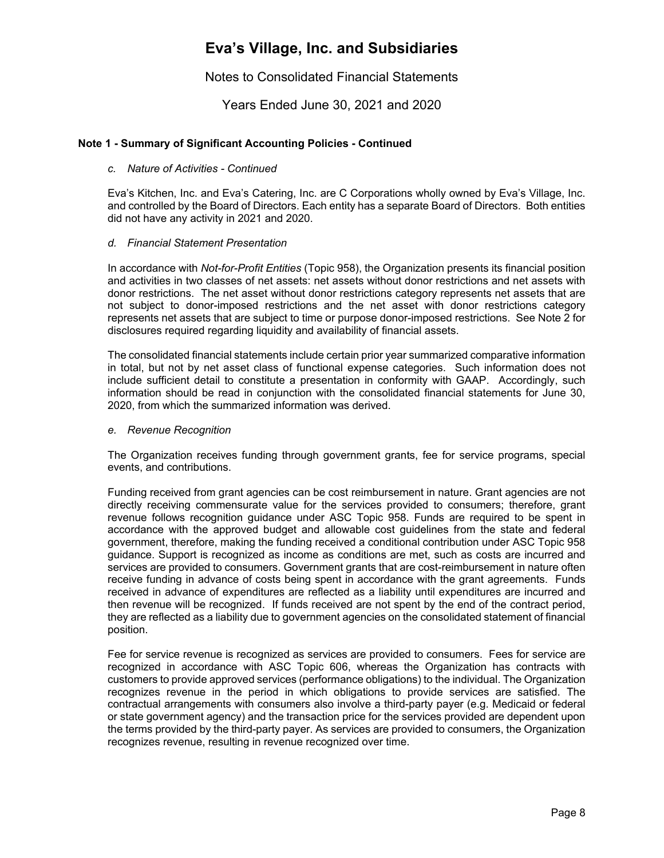Notes to Consolidated Financial Statements

Years Ended June 30, 2021 and 2020

#### **Note 1 - Summary of Significant Accounting Policies - Continued**

#### *c. Nature of Activities - Continued*

Eva's Kitchen, Inc. and Eva's Catering, Inc. are C Corporations wholly owned by Eva's Village, Inc. and controlled by the Board of Directors. Each entity has a separate Board of Directors. Both entities did not have any activity in 2021 and 2020.

#### *d. Financial Statement Presentation*

In accordance with *Not-for-Profit Entities* (Topic 958), the Organization presents its financial position and activities in two classes of net assets: net assets without donor restrictions and net assets with donor restrictions. The net asset without donor restrictions category represents net assets that are not subject to donor-imposed restrictions and the net asset with donor restrictions category represents net assets that are subject to time or purpose donor-imposed restrictions. See Note 2 for disclosures required regarding liquidity and availability of financial assets.

The consolidated financial statements include certain prior year summarized comparative information in total, but not by net asset class of functional expense categories. Such information does not include sufficient detail to constitute a presentation in conformity with GAAP. Accordingly, such information should be read in conjunction with the consolidated financial statements for June 30, 2020, from which the summarized information was derived.

#### *e. Revenue Recognition*

The Organization receives funding through government grants, fee for service programs, special events, and contributions.

Funding received from grant agencies can be cost reimbursement in nature. Grant agencies are not directly receiving commensurate value for the services provided to consumers; therefore, grant revenue follows recognition guidance under ASC Topic 958. Funds are required to be spent in accordance with the approved budget and allowable cost guidelines from the state and federal government, therefore, making the funding received a conditional contribution under ASC Topic 958 guidance. Support is recognized as income as conditions are met, such as costs are incurred and services are provided to consumers. Government grants that are cost-reimbursement in nature often receive funding in advance of costs being spent in accordance with the grant agreements. Funds received in advance of expenditures are reflected as a liability until expenditures are incurred and then revenue will be recognized. If funds received are not spent by the end of the contract period, they are reflected as a liability due to government agencies on the consolidated statement of financial position.

Fee for service revenue is recognized as services are provided to consumers. Fees for service are recognized in accordance with ASC Topic 606, whereas the Organization has contracts with customers to provide approved services (performance obligations) to the individual. The Organization recognizes revenue in the period in which obligations to provide services are satisfied. The contractual arrangements with consumers also involve a third-party payer (e.g. Medicaid or federal or state government agency) and the transaction price for the services provided are dependent upon the terms provided by the third-party payer. As services are provided to consumers, the Organization recognizes revenue, resulting in revenue recognized over time.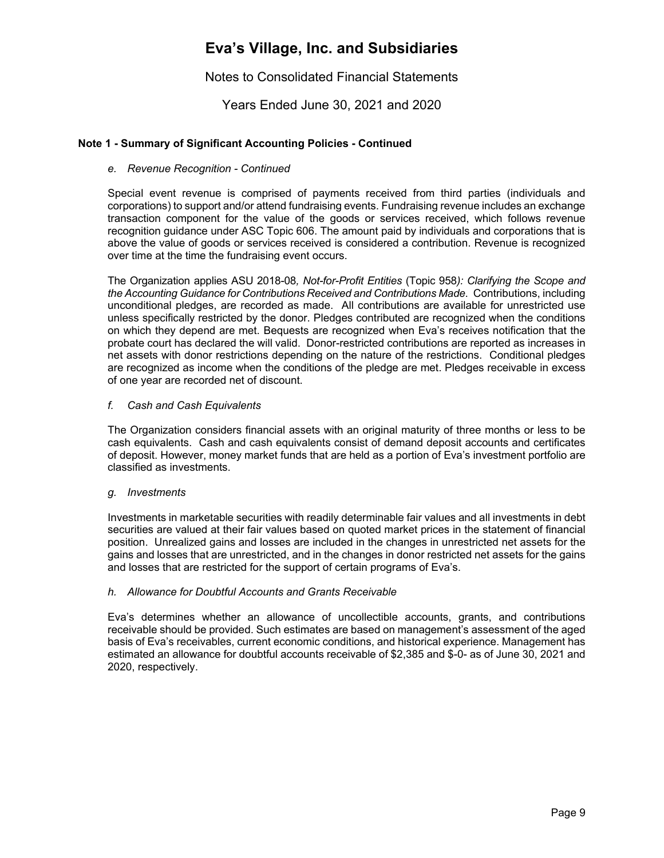Notes to Consolidated Financial Statements

Years Ended June 30, 2021 and 2020

#### **Note 1 - Summary of Significant Accounting Policies - Continued**

#### *e. Revenue Recognition - Continued*

Special event revenue is comprised of payments received from third parties (individuals and corporations) to support and/or attend fundraising events. Fundraising revenue includes an exchange transaction component for the value of the goods or services received, which follows revenue recognition guidance under ASC Topic 606. The amount paid by individuals and corporations that is above the value of goods or services received is considered a contribution. Revenue is recognized over time at the time the fundraising event occurs.

The Organization applies ASU 2018-08*, Not-for-Profit Entities* (Topic 958*): Clarifying the Scope and the Accounting Guidance for Contributions Received and Contributions Made*. Contributions, including unconditional pledges, are recorded as made. All contributions are available for unrestricted use unless specifically restricted by the donor. Pledges contributed are recognized when the conditions on which they depend are met. Bequests are recognized when Eva's receives notification that the probate court has declared the will valid. Donor-restricted contributions are reported as increases in net assets with donor restrictions depending on the nature of the restrictions. Conditional pledges are recognized as income when the conditions of the pledge are met. Pledges receivable in excess of one year are recorded net of discount.

#### *f. Cash and Cash Equivalents*

The Organization considers financial assets with an original maturity of three months or less to be cash equivalents. Cash and cash equivalents consist of demand deposit accounts and certificates of deposit. However, money market funds that are held as a portion of Eva's investment portfolio are classified as investments.

#### *g. Investments*

Investments in marketable securities with readily determinable fair values and all investments in debt securities are valued at their fair values based on quoted market prices in the statement of financial position. Unrealized gains and losses are included in the changes in unrestricted net assets for the gains and losses that are unrestricted, and in the changes in donor restricted net assets for the gains and losses that are restricted for the support of certain programs of Eva's.

#### *h. Allowance for Doubtful Accounts and Grants Receivable*

Eva's determines whether an allowance of uncollectible accounts, grants, and contributions receivable should be provided. Such estimates are based on management's assessment of the aged basis of Eva's receivables, current economic conditions, and historical experience. Management has estimated an allowance for doubtful accounts receivable of \$2,385 and \$-0- as of June 30, 2021 and 2020, respectively.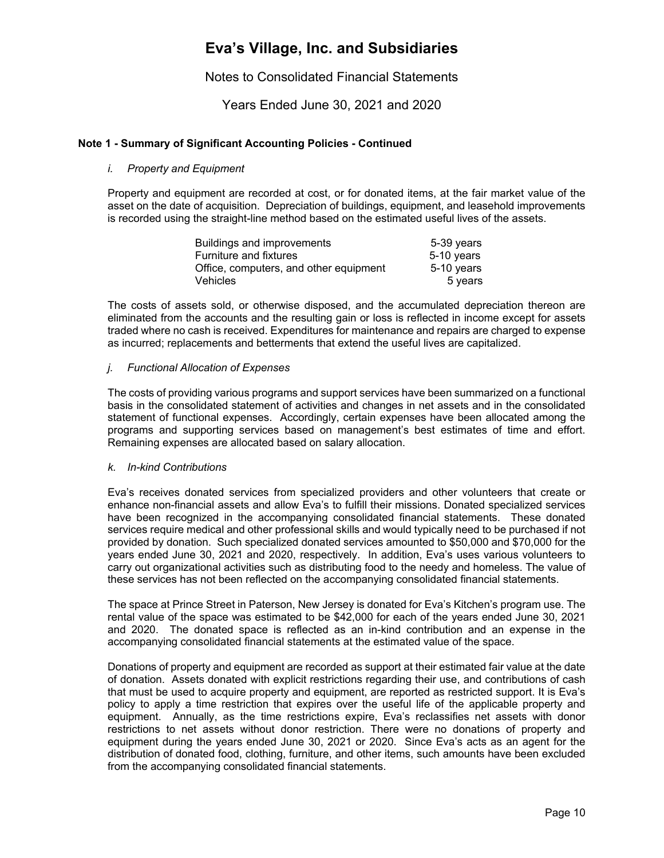Notes to Consolidated Financial Statements

Years Ended June 30, 2021 and 2020

#### **Note 1 - Summary of Significant Accounting Policies - Continued**

#### *i. Property and Equipment*

Property and equipment are recorded at cost, or for donated items, at the fair market value of the asset on the date of acquisition. Depreciation of buildings, equipment, and leasehold improvements is recorded using the straight-line method based on the estimated useful lives of the assets.

| Buildings and improvements             | 5-39 years |
|----------------------------------------|------------|
| <b>Furniture and fixtures</b>          | 5-10 years |
| Office, computers, and other equipment | 5-10 years |
| <b>Vehicles</b>                        | 5 years    |

The costs of assets sold, or otherwise disposed, and the accumulated depreciation thereon are eliminated from the accounts and the resulting gain or loss is reflected in income except for assets traded where no cash is received. Expenditures for maintenance and repairs are charged to expense as incurred; replacements and betterments that extend the useful lives are capitalized.

#### *j. Functional Allocation of Expenses*

The costs of providing various programs and support services have been summarized on a functional basis in the consolidated statement of activities and changes in net assets and in the consolidated statement of functional expenses. Accordingly, certain expenses have been allocated among the programs and supporting services based on management's best estimates of time and effort. Remaining expenses are allocated based on salary allocation.

#### *k. In-kind Contributions*

Eva's receives donated services from specialized providers and other volunteers that create or enhance non-financial assets and allow Eva's to fulfill their missions. Donated specialized services have been recognized in the accompanying consolidated financial statements. These donated services require medical and other professional skills and would typically need to be purchased if not provided by donation. Such specialized donated services amounted to \$50,000 and \$70,000 for the years ended June 30, 2021 and 2020, respectively. In addition, Eva's uses various volunteers to carry out organizational activities such as distributing food to the needy and homeless. The value of these services has not been reflected on the accompanying consolidated financial statements.

The space at Prince Street in Paterson, New Jersey is donated for Eva's Kitchen's program use. The rental value of the space was estimated to be \$42,000 for each of the years ended June 30, 2021 and 2020. The donated space is reflected as an in-kind contribution and an expense in the accompanying consolidated financial statements at the estimated value of the space.

Donations of property and equipment are recorded as support at their estimated fair value at the date of donation. Assets donated with explicit restrictions regarding their use, and contributions of cash that must be used to acquire property and equipment, are reported as restricted support. It is Eva's policy to apply a time restriction that expires over the useful life of the applicable property and equipment. Annually, as the time restrictions expire, Eva's reclassifies net assets with donor restrictions to net assets without donor restriction. There were no donations of property and equipment during the years ended June 30, 2021 or 2020. Since Eva's acts as an agent for the distribution of donated food, clothing, furniture, and other items, such amounts have been excluded from the accompanying consolidated financial statements.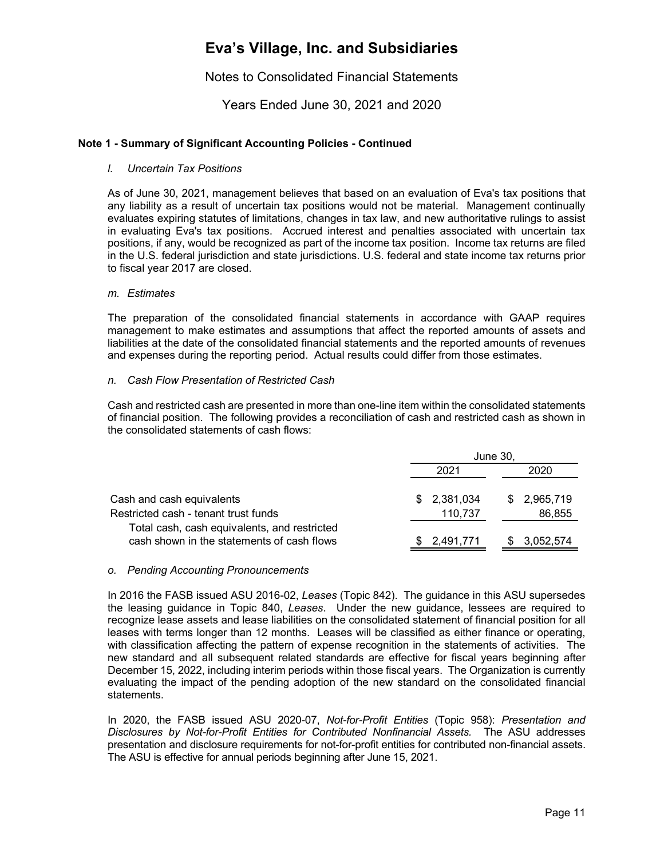### Notes to Consolidated Financial Statements

Years Ended June 30, 2021 and 2020

#### **Note 1 - Summary of Significant Accounting Policies - Continued**

#### *l. Uncertain Tax Positions*

As of June 30, 2021, management believes that based on an evaluation of Eva's tax positions that any liability as a result of uncertain tax positions would not be material. Management continually evaluates expiring statutes of limitations, changes in tax law, and new authoritative rulings to assist in evaluating Eva's tax positions. Accrued interest and penalties associated with uncertain tax positions, if any, would be recognized as part of the income tax position. Income tax returns are filed in the U.S. federal jurisdiction and state jurisdictions. U.S. federal and state income tax returns prior to fiscal year 2017 are closed.

#### *m. Estimates*

The preparation of the consolidated financial statements in accordance with GAAP requires management to make estimates and assumptions that affect the reported amounts of assets and liabilities at the date of the consolidated financial statements and the reported amounts of revenues and expenses during the reporting period. Actual results could differ from those estimates.

#### *n. Cash Flow Presentation of Restricted Cash*

Cash and restricted cash are presented in more than one-line item within the consolidated statements of financial position. The following provides a reconciliation of cash and restricted cash as shown in the consolidated statements of cash flows:

|                                                                                            | June 30,                    |                       |  |  |  |
|--------------------------------------------------------------------------------------------|-----------------------------|-----------------------|--|--|--|
|                                                                                            | 2021                        | 2020                  |  |  |  |
| Cash and cash equivalents<br>Restricted cash - tenant trust funds                          | 2,381,034<br>\$.<br>110,737 | \$2,965,719<br>86,855 |  |  |  |
| Total cash, cash equivalents, and restricted<br>cash shown in the statements of cash flows | 2,491,771<br>S.             | 3,052,574             |  |  |  |

#### *o. Pending Accounting Pronouncements*

In 2016 the FASB issued ASU 2016-02, *Leases* (Topic 842). The guidance in this ASU supersedes the leasing guidance in Topic 840, *Leases*. Under the new guidance, lessees are required to recognize lease assets and lease liabilities on the consolidated statement of financial position for all leases with terms longer than 12 months. Leases will be classified as either finance or operating, with classification affecting the pattern of expense recognition in the statements of activities. The new standard and all subsequent related standards are effective for fiscal years beginning after December 15, 2022, including interim periods within those fiscal years. The Organization is currently evaluating the impact of the pending adoption of the new standard on the consolidated financial statements.

In 2020, the FASB issued ASU 2020-07, *Not-for-Profit Entities* (Topic 958): *Presentation and Disclosures by Not-for-Profit Entities for Contributed Nonfinancial Assets.* The ASU addresses presentation and disclosure requirements for not-for-profit entities for contributed non-financial assets. The ASU is effective for annual periods beginning after June 15, 2021.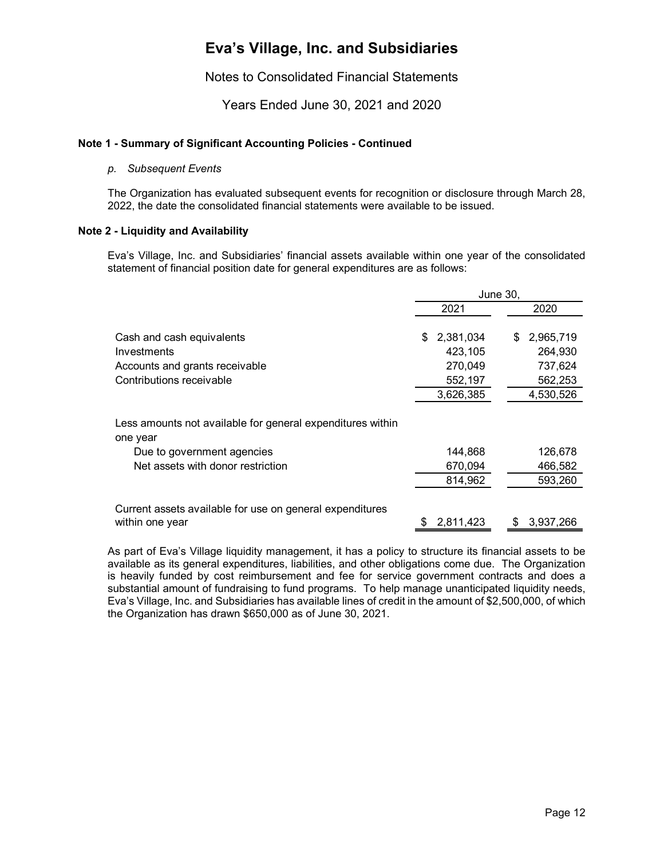### Notes to Consolidated Financial Statements

Years Ended June 30, 2021 and 2020

#### **Note 1 - Summary of Significant Accounting Policies - Continued**

#### *p. Subsequent Events*

The Organization has evaluated subsequent events for recognition or disclosure through March 28, 2022, the date the consolidated financial statements were available to be issued.

#### **Note 2 - Liquidity and Availability**

Eva's Village, Inc. and Subsidiaries' financial assets available within one year of the consolidated statement of financial position date for general expenditures are as follows:

|                                                                        | <b>June 30,</b>  |                 |  |  |
|------------------------------------------------------------------------|------------------|-----------------|--|--|
|                                                                        | 2021             | 2020            |  |  |
| Cash and cash equivalents                                              | 2,381,034<br>\$. | 2,965,719<br>\$ |  |  |
| Investments                                                            | 423,105          | 264,930         |  |  |
| Accounts and grants receivable                                         | 270,049          | 737,624         |  |  |
| Contributions receivable                                               | 552,197          | 562,253         |  |  |
|                                                                        | 3,626,385        | 4,530,526       |  |  |
| Less amounts not available for general expenditures within<br>one year |                  |                 |  |  |
| Due to government agencies                                             | 144.868          | 126,678         |  |  |
| Net assets with donor restriction                                      | 670,094          | 466,582         |  |  |
|                                                                        | 814,962          | 593,260         |  |  |
| Current assets available for use on general expenditures               |                  |                 |  |  |
| within one year                                                        | 2,811,423        | 3,937,266       |  |  |

As part of Eva's Village liquidity management, it has a policy to structure its financial assets to be available as its general expenditures, liabilities, and other obligations come due. The Organization is heavily funded by cost reimbursement and fee for service government contracts and does a substantial amount of fundraising to fund programs. To help manage unanticipated liquidity needs, Eva's Village, Inc. and Subsidiaries has available lines of credit in the amount of \$2,500,000, of which the Organization has drawn \$650,000 as of June 30, 2021.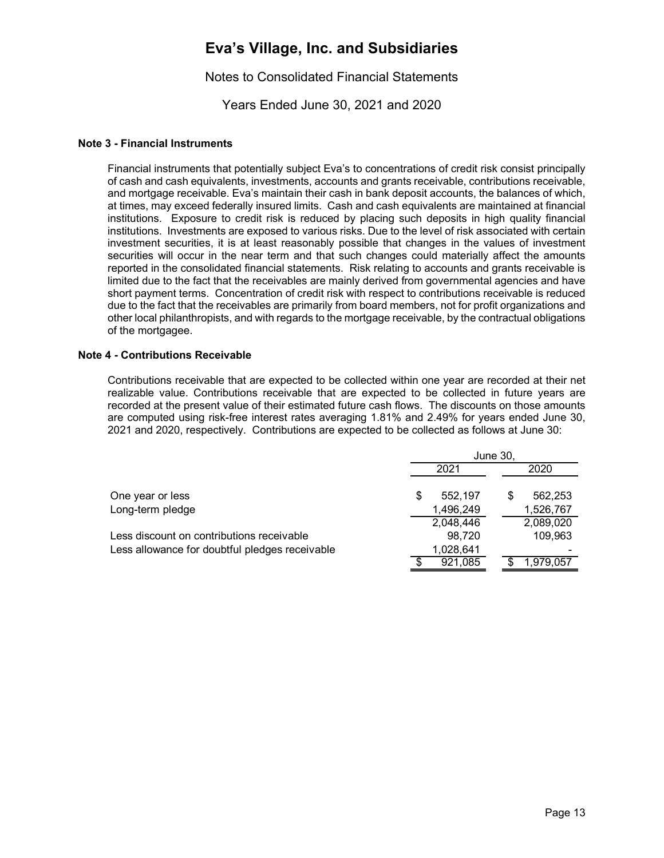### Notes to Consolidated Financial Statements

Years Ended June 30, 2021 and 2020

#### **Note 3 - Financial Instruments**

Financial instruments that potentially subject Eva's to concentrations of credit risk consist principally of cash and cash equivalents, investments, accounts and grants receivable, contributions receivable, and mortgage receivable. Eva's maintain their cash in bank deposit accounts, the balances of which, at times, may exceed federally insured limits. Cash and cash equivalents are maintained at financial institutions. Exposure to credit risk is reduced by placing such deposits in high quality financial institutions. Investments are exposed to various risks. Due to the level of risk associated with certain investment securities, it is at least reasonably possible that changes in the values of investment securities will occur in the near term and that such changes could materially affect the amounts reported in the consolidated financial statements. Risk relating to accounts and grants receivable is limited due to the fact that the receivables are mainly derived from governmental agencies and have short payment terms. Concentration of credit risk with respect to contributions receivable is reduced due to the fact that the receivables are primarily from board members, not for profit organizations and other local philanthropists, and with regards to the mortgage receivable, by the contractual obligations of the mortgagee.

#### **Note 4 - Contributions Receivable**

Contributions receivable that are expected to be collected within one year are recorded at their net realizable value. Contributions receivable that are expected to be collected in future years are recorded at the present value of their estimated future cash flows. The discounts on those amounts are computed using risk-free interest rates averaging 1.81% and 2.49% for years ended June 30, 2021 and 2020, respectively. Contributions are expected to be collected as follows at June 30:

|                                                | June 30.  |              |  |  |  |  |  |
|------------------------------------------------|-----------|--------------|--|--|--|--|--|
|                                                | 2021      | 2020         |  |  |  |  |  |
| One year or less                               | 552.197   | 562,253<br>S |  |  |  |  |  |
| Long-term pledge                               | 1,496,249 | 1,526,767    |  |  |  |  |  |
|                                                | 2,048,446 | 2,089,020    |  |  |  |  |  |
| Less discount on contributions receivable      | 98,720    | 109,963      |  |  |  |  |  |
| Less allowance for doubtful pledges receivable | 1,028,641 |              |  |  |  |  |  |
|                                                | 921,085   | 1.979.057    |  |  |  |  |  |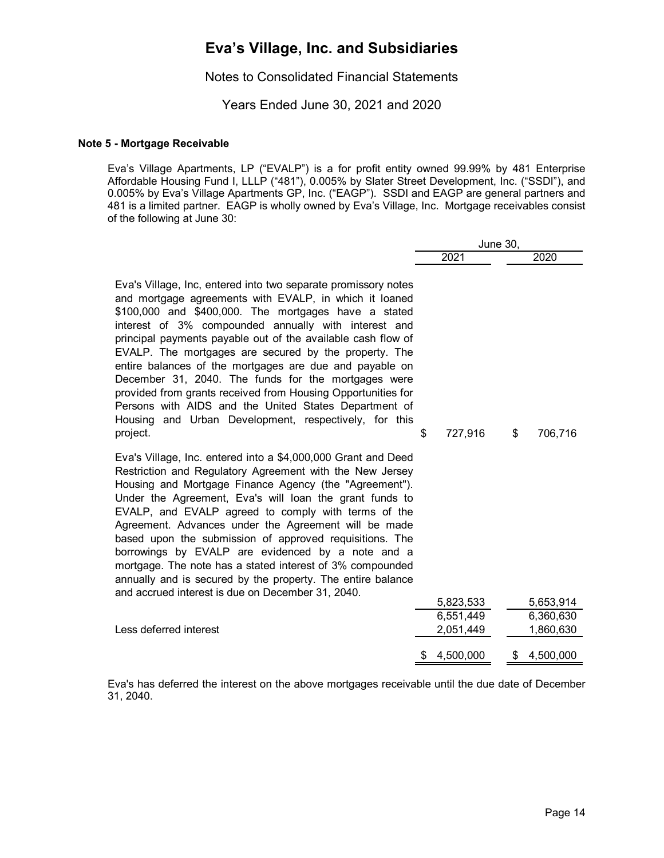Notes to Consolidated Financial Statements

Years Ended June 30, 2021 and 2020

#### **Note 5 - Mortgage Receivable**

Eva's Village Apartments, LP ("EVALP") is a for profit entity owned 99.99% by 481 Enterprise Affordable Housing Fund I, LLLP ("481"), 0.005% by Slater Street Development, Inc. ("SSDI"), and 0.005% by Eva's Village Apartments GP, Inc. ("EAGP"). SSDI and EAGP are general partners and 481 is a limited partner. EAGP is wholly owned by Eva's Village, Inc. Mortgage receivables consist of the following at June 30:

|                                                                                                                                                                                                                                                                                                                                                                                                                                                                                                                                                                                                                                                                                   | <b>June 30,</b> |           |    |           |
|-----------------------------------------------------------------------------------------------------------------------------------------------------------------------------------------------------------------------------------------------------------------------------------------------------------------------------------------------------------------------------------------------------------------------------------------------------------------------------------------------------------------------------------------------------------------------------------------------------------------------------------------------------------------------------------|-----------------|-----------|----|-----------|
|                                                                                                                                                                                                                                                                                                                                                                                                                                                                                                                                                                                                                                                                                   |                 | 2021      |    | 2020      |
| Eva's Village, Inc, entered into two separate promissory notes<br>and mortgage agreements with EVALP, in which it loaned<br>\$100,000 and \$400,000. The mortgages have a stated<br>interest of 3% compounded annually with interest and<br>principal payments payable out of the available cash flow of<br>EVALP. The mortgages are secured by the property. The<br>entire balances of the mortgages are due and payable on<br>December 31, 2040. The funds for the mortgages were<br>provided from grants received from Housing Opportunities for<br>Persons with AIDS and the United States Department of<br>Housing and Urban Development, respectively, for this<br>project. | \$              | 727,916   | \$ | 706,716   |
| Eva's Village, Inc. entered into a \$4,000,000 Grant and Deed<br>Restriction and Regulatory Agreement with the New Jersey<br>Housing and Mortgage Finance Agency (the "Agreement").<br>Under the Agreement, Eva's will loan the grant funds to<br>EVALP, and EVALP agreed to comply with terms of the<br>Agreement. Advances under the Agreement will be made<br>based upon the submission of approved requisitions. The<br>borrowings by EVALP are evidenced by a note and a<br>mortgage. The note has a stated interest of 3% compounded<br>annually and is secured by the property. The entire balance<br>and accrued interest is due on December 31, 2040.                    |                 |           |    |           |
|                                                                                                                                                                                                                                                                                                                                                                                                                                                                                                                                                                                                                                                                                   |                 | 5,823,533 |    | 5,653,914 |
|                                                                                                                                                                                                                                                                                                                                                                                                                                                                                                                                                                                                                                                                                   |                 | 6,551,449 |    | 6,360,630 |
| Less deferred interest                                                                                                                                                                                                                                                                                                                                                                                                                                                                                                                                                                                                                                                            |                 | 2,051,449 |    | 1,860,630 |
|                                                                                                                                                                                                                                                                                                                                                                                                                                                                                                                                                                                                                                                                                   | \$              | 4,500,000 | \$ | 4,500,000 |

Eva's has deferred the interest on the above mortgages receivable until the due date of December 31, 2040.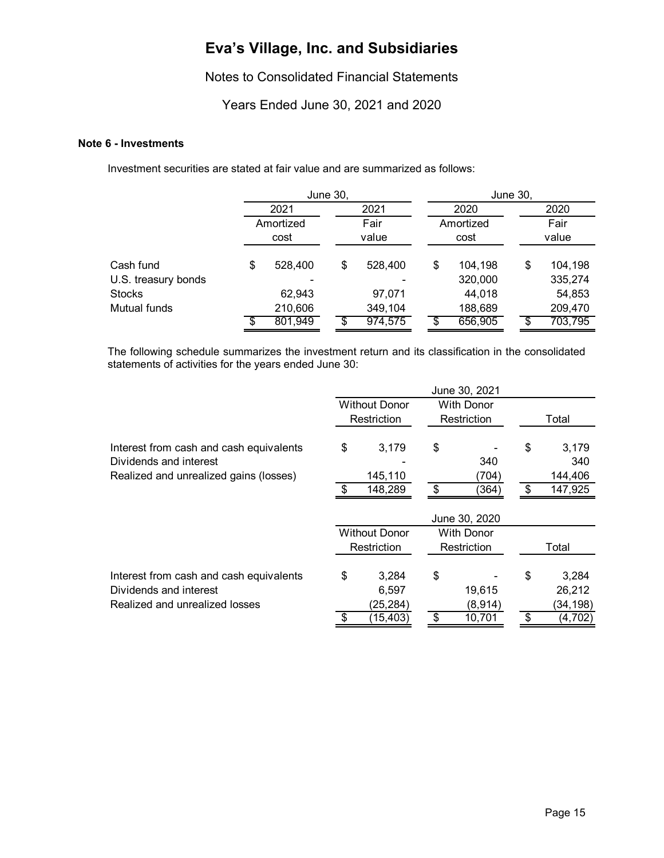### Notes to Consolidated Financial Statements

### Years Ended June 30, 2021 and 2020

#### **Note 6 - Investments**

Investment securities are stated at fair value and are summarized as follows:

|                                      |                   | June 30,      |         | June 30, |                   |    |                   |  |
|--------------------------------------|-------------------|---------------|---------|----------|-------------------|----|-------------------|--|
|                                      | 2021              |               | 2021    |          | 2020              |    | 2020              |  |
|                                      | Amortized<br>cost | Fair<br>value |         |          | Amortized<br>cost |    | Fair<br>value     |  |
| Cash fund                            | \$<br>528,400     | \$            | 528,400 | \$       | 104,198           | \$ | 104,198           |  |
| U.S. treasury bonds<br><b>Stocks</b> | 62,943            |               | 97,071  |          | 320,000<br>44,018 |    | 335,274<br>54,853 |  |
| Mutual funds                         | 210,606           |               | 349,104 |          | 188,689           |    | 209,470           |  |
|                                      | 801,949           |               | 974,575 |          | 656,905           |    | 703,795           |  |

The following schedule summarizes the investment return and its classification in the consolidated statements of activities for the years ended June 30:

|                                         |                      | June 30, 2021     |               |
|-----------------------------------------|----------------------|-------------------|---------------|
|                                         | <b>Without Donor</b> | <b>With Donor</b> |               |
|                                         | Restriction          | Restriction       | Total         |
| Interest from cash and cash equivalents | \$<br>3,179          | \$                | \$<br>3,179   |
| Dividends and interest                  |                      | 340               | 340           |
| Realized and unrealized gains (losses)  | 145,110              | (704)             | 144,406       |
|                                         | 148,289              | \$<br>(364)       | \$<br>147,925 |
|                                         |                      |                   |               |
|                                         |                      | June 30, 2020     |               |
|                                         | <b>Without Donor</b> | <b>With Donor</b> |               |
|                                         | Restriction          | Restriction       | Total         |
| Interest from cash and cash equivalents | \$<br>3,284          | \$                | \$<br>3,284   |
| Dividends and interest                  | 6,597                | 19,615            | 26,212        |
| Realized and unrealized losses          | (25, 284)            | (8,914)           | (34, 198)     |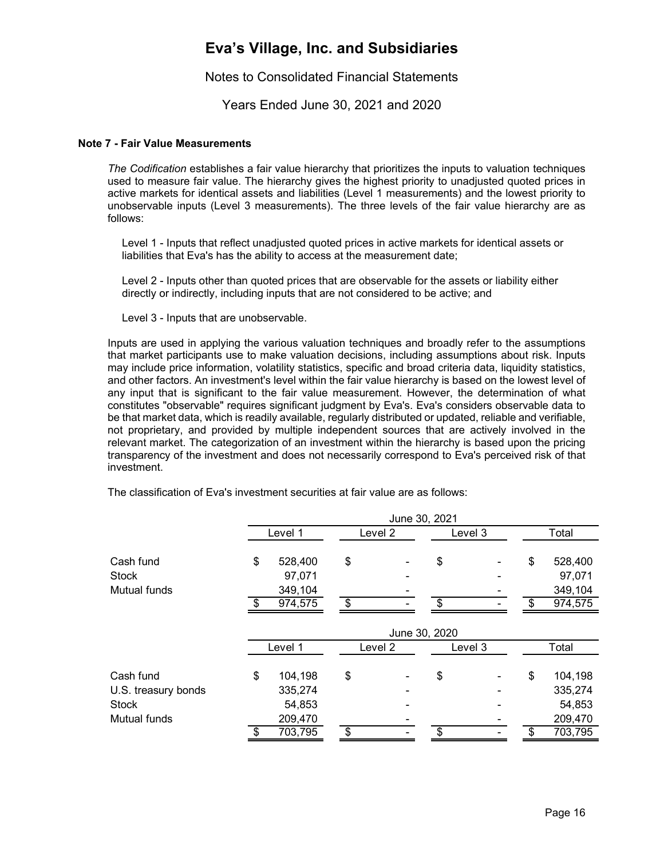Notes to Consolidated Financial Statements

Years Ended June 30, 2021 and 2020

#### **Note 7 - Fair Value Measurements**

*The Codification* establishes a fair value hierarchy that prioritizes the inputs to valuation techniques used to measure fair value. The hierarchy gives the highest priority to unadjusted quoted prices in active markets for identical assets and liabilities (Level 1 measurements) and the lowest priority to unobservable inputs (Level 3 measurements). The three levels of the fair value hierarchy are as follows:

 Level 1 - Inputs that reflect unadjusted quoted prices in active markets for identical assets or liabilities that Eva's has the ability to access at the measurement date;

 Level 2 - Inputs other than quoted prices that are observable for the assets or liability either directly or indirectly, including inputs that are not considered to be active; and

Level 3 - Inputs that are unobservable.

Inputs are used in applying the various valuation techniques and broadly refer to the assumptions that market participants use to make valuation decisions, including assumptions about risk. Inputs may include price information, volatility statistics, specific and broad criteria data, liquidity statistics, and other factors. An investment's level within the fair value hierarchy is based on the lowest level of any input that is significant to the fair value measurement. However, the determination of what constitutes "observable" requires significant judgment by Eva's. Eva's considers observable data to be that market data, which is readily available, regularly distributed or updated, reliable and verifiable, not proprietary, and provided by multiple independent sources that are actively involved in the relevant market. The categorization of an investment within the hierarchy is based upon the pricing transparency of the investment and does not necessarily correspond to Eva's perceived risk of that investment.

|                                     |     |                    | June 30, 2021 |         |                          |
|-------------------------------------|-----|--------------------|---------------|---------|--------------------------|
|                                     |     | Level 1            | Level 2       | Level 3 | Total                    |
| Cash fund                           | \$  | 528,400            | \$            | \$      | \$<br>528,400            |
| <b>Stock</b>                        |     | 97,071             |               |         | 97,071                   |
| Mutual funds                        |     | 349,104            |               |         | 349,104                  |
|                                     | -\$ | 974,575            | \$            | \$      | \$<br>974,575            |
|                                     |     |                    | June 30, 2020 |         |                          |
|                                     |     | Level 1            | Level 2       | Level 3 | Total                    |
| Cash fund                           | \$  | 104,198<br>335,274 | \$            | \$      | \$<br>104,198<br>335,274 |
| U.S. treasury bonds<br><b>Stock</b> |     | 54,853             |               |         | 54,853                   |
| Mutual funds                        |     | 209,470            |               | \$      | 209,470                  |
|                                     | \$  | 703,795            | \$            |         | 703,795                  |

The classification of Eva's investment securities at fair value are as follows: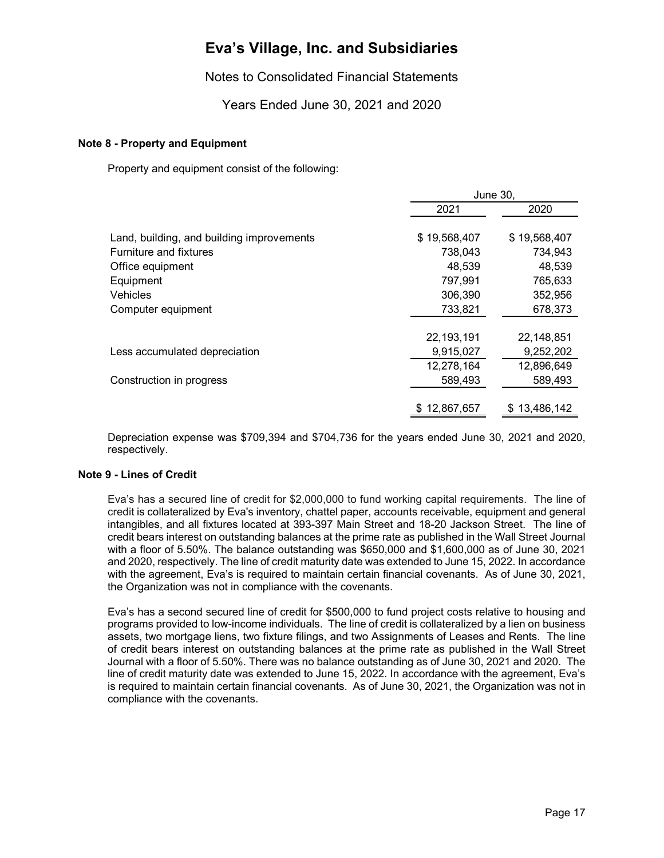### Notes to Consolidated Financial Statements

### Years Ended June 30, 2021 and 2020

#### **Note 8 - Property and Equipment**

Property and equipment consist of the following:

|                                           | June 30.     |              |  |
|-------------------------------------------|--------------|--------------|--|
|                                           | 2021         | 2020         |  |
|                                           |              |              |  |
| Land, building, and building improvements | \$19,568,407 | \$19,568,407 |  |
| Furniture and fixtures                    | 738,043      | 734,943      |  |
| Office equipment                          | 48,539       | 48,539       |  |
| Equipment                                 | 797,991      | 765,633      |  |
| Vehicles                                  | 306,390      | 352,956      |  |
| Computer equipment                        | 733,821      | 678,373      |  |
|                                           |              |              |  |
|                                           | 22, 193, 191 | 22,148,851   |  |
| Less accumulated depreciation             | 9,915,027    | 9,252,202    |  |
|                                           | 12,278,164   | 12,896,649   |  |
| Construction in progress                  | 589,493      | 589,493      |  |
|                                           |              |              |  |
|                                           | \$12,867,657 | 13,486,142   |  |

Depreciation expense was \$709,394 and \$704,736 for the years ended June 30, 2021 and 2020, respectively.

#### **Note 9 - Lines of Credit**

Eva's has a secured line of credit for \$2,000,000 to fund working capital requirements. The line of credit is collateralized by Eva's inventory, chattel paper, accounts receivable, equipment and general intangibles, and all fixtures located at 393-397 Main Street and 18-20 Jackson Street. The line of credit bears interest on outstanding balances at the prime rate as published in the Wall Street Journal with a floor of 5.50%. The balance outstanding was \$650,000 and \$1,600,000 as of June 30, 2021 and 2020, respectively. The line of credit maturity date was extended to June 15, 2022. In accordance with the agreement, Eva's is required to maintain certain financial covenants. As of June 30, 2021, the Organization was not in compliance with the covenants.

Eva's has a second secured line of credit for \$500,000 to fund project costs relative to housing and programs provided to low-income individuals. The line of credit is collateralized by a lien on business assets, two mortgage liens, two fixture filings, and two Assignments of Leases and Rents. The line of credit bears interest on outstanding balances at the prime rate as published in the Wall Street Journal with a floor of 5.50%. There was no balance outstanding as of June 30, 2021 and 2020. The line of credit maturity date was extended to June 15, 2022. In accordance with the agreement, Eva's is required to maintain certain financial covenants. As of June 30, 2021, the Organization was not in compliance with the covenants.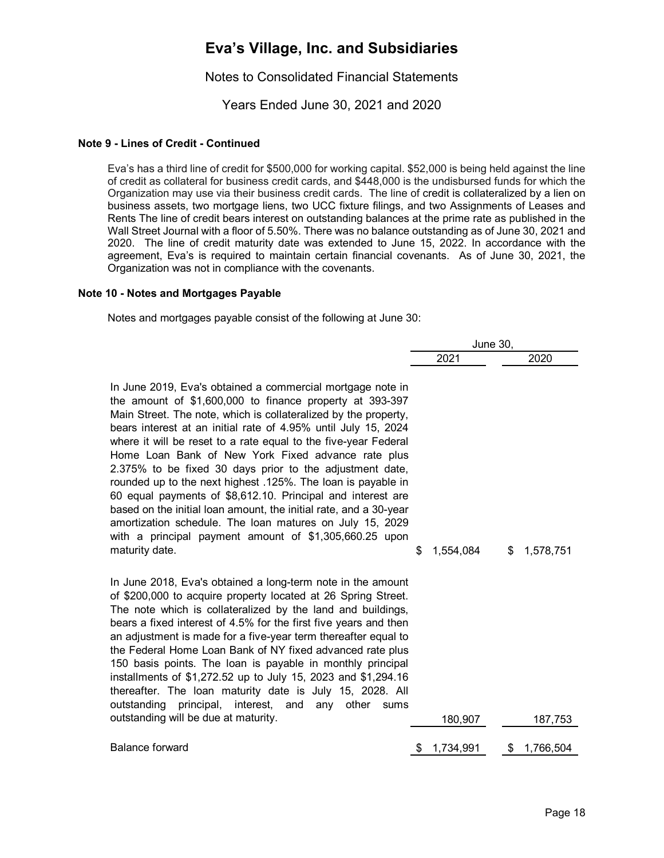### Notes to Consolidated Financial Statements

Years Ended June 30, 2021 and 2020

#### **Note 9 - Lines of Credit - Continued**

Eva's has a third line of credit for \$500,000 for working capital. \$52,000 is being held against the line of credit as collateral for business credit cards, and \$448,000 is the undisbursed funds for which the Organization may use via their business credit cards. The line of credit is collateralized by a lien on business assets, two mortgage liens, two UCC fixture filings, and two Assignments of Leases and Rents The line of credit bears interest on outstanding balances at the prime rate as published in the Wall Street Journal with a floor of 5.50%. There was no balance outstanding as of June 30, 2021 and 2020. The line of credit maturity date was extended to June 15, 2022. In accordance with the agreement, Eva's is required to maintain certain financial covenants. As of June 30, 2021, the Organization was not in compliance with the covenants.

#### **Note 10 - Notes and Mortgages Payable**

Notes and mortgages payable consist of the following at June 30:

|                                                                                                                                                                                                                                                                                                                                                                                                                                                                                                                                                                                                                                                                                                                                                                                              | <b>June 30,</b> |    |           |
|----------------------------------------------------------------------------------------------------------------------------------------------------------------------------------------------------------------------------------------------------------------------------------------------------------------------------------------------------------------------------------------------------------------------------------------------------------------------------------------------------------------------------------------------------------------------------------------------------------------------------------------------------------------------------------------------------------------------------------------------------------------------------------------------|-----------------|----|-----------|
|                                                                                                                                                                                                                                                                                                                                                                                                                                                                                                                                                                                                                                                                                                                                                                                              | 2021            |    | 2020      |
| In June 2019, Eva's obtained a commercial mortgage note in<br>the amount of \$1,600,000 to finance property at 393-397<br>Main Street. The note, which is collateralized by the property,<br>bears interest at an initial rate of 4.95% until July 15, 2024<br>where it will be reset to a rate equal to the five-year Federal<br>Home Loan Bank of New York Fixed advance rate plus<br>2.375% to be fixed 30 days prior to the adjustment date,<br>rounded up to the next highest .125%. The loan is payable in<br>60 equal payments of \$8,612.10. Principal and interest are<br>based on the initial loan amount, the initial rate, and a 30-year<br>amortization schedule. The loan matures on July 15, 2029<br>with a principal payment amount of \$1,305,660.25 upon<br>maturity date. | \$<br>1,554,084 | \$ | 1,578,751 |
| In June 2018, Eva's obtained a long-term note in the amount<br>of \$200,000 to acquire property located at 26 Spring Street.<br>The note which is collateralized by the land and buildings,<br>bears a fixed interest of 4.5% for the first five years and then<br>an adjustment is made for a five-year term thereafter equal to<br>the Federal Home Loan Bank of NY fixed advanced rate plus<br>150 basis points. The loan is payable in monthly principal<br>installments of \$1,272.52 up to July 15, 2023 and \$1,294.16<br>thereafter. The loan maturity date is July 15, 2028. All<br>outstanding principal, interest, and any<br>other<br>sums<br>outstanding will be due at maturity.                                                                                               | 180,907         |    | 187,753   |
| <b>Balance forward</b>                                                                                                                                                                                                                                                                                                                                                                                                                                                                                                                                                                                                                                                                                                                                                                       | 1,734,991       | S  | 1,766,504 |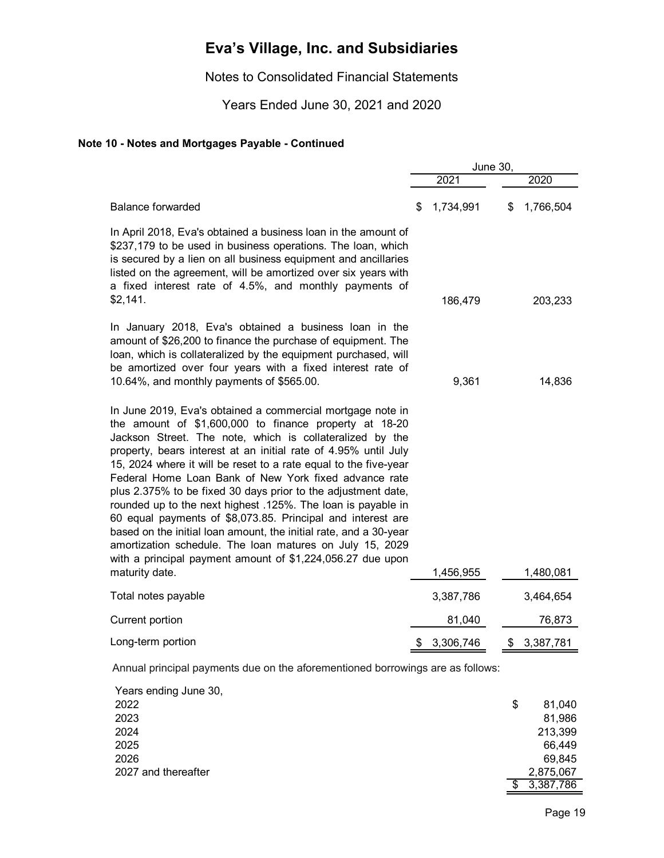Notes to Consolidated Financial Statements

Years Ended June 30, 2021 and 2020

### **Note 10 - Notes and Mortgages Payable - Continued**

|                                                                                                                                                                                                                                                                                                                                                                                                                                                                                                                                                                                                                                                                                                                                                                                 | June 30, |           |    |           |
|---------------------------------------------------------------------------------------------------------------------------------------------------------------------------------------------------------------------------------------------------------------------------------------------------------------------------------------------------------------------------------------------------------------------------------------------------------------------------------------------------------------------------------------------------------------------------------------------------------------------------------------------------------------------------------------------------------------------------------------------------------------------------------|----------|-----------|----|-----------|
|                                                                                                                                                                                                                                                                                                                                                                                                                                                                                                                                                                                                                                                                                                                                                                                 |          | 2021      |    | 2020      |
| <b>Balance forwarded</b>                                                                                                                                                                                                                                                                                                                                                                                                                                                                                                                                                                                                                                                                                                                                                        | \$       | 1,734,991 | \$ | 1,766,504 |
| In April 2018, Eva's obtained a business loan in the amount of<br>\$237,179 to be used in business operations. The loan, which<br>is secured by a lien on all business equipment and ancillaries<br>listed on the agreement, will be amortized over six years with<br>a fixed interest rate of 4.5%, and monthly payments of<br>\$2,141.                                                                                                                                                                                                                                                                                                                                                                                                                                        |          | 186,479   |    | 203,233   |
| In January 2018, Eva's obtained a business loan in the<br>amount of \$26,200 to finance the purchase of equipment. The<br>loan, which is collateralized by the equipment purchased, will<br>be amortized over four years with a fixed interest rate of<br>10.64%, and monthly payments of \$565.00.                                                                                                                                                                                                                                                                                                                                                                                                                                                                             |          | 9,361     |    | 14,836    |
| In June 2019, Eva's obtained a commercial mortgage note in<br>the amount of \$1,600,000 to finance property at 18-20<br>Jackson Street. The note, which is collateralized by the<br>property, bears interest at an initial rate of 4.95% until July<br>15, 2024 where it will be reset to a rate equal to the five-year<br>Federal Home Loan Bank of New York fixed advance rate<br>plus 2.375% to be fixed 30 days prior to the adjustment date,<br>rounded up to the next highest .125%. The loan is payable in<br>60 equal payments of \$8,073.85. Principal and interest are<br>based on the initial loan amount, the initial rate, and a 30-year<br>amortization schedule. The loan matures on July 15, 2029<br>with a principal payment amount of \$1,224,056.27 due upon |          |           |    |           |
| maturity date.                                                                                                                                                                                                                                                                                                                                                                                                                                                                                                                                                                                                                                                                                                                                                                  |          | 1,456,955 |    | 1,480,081 |
| Total notes payable                                                                                                                                                                                                                                                                                                                                                                                                                                                                                                                                                                                                                                                                                                                                                             |          | 3,387,786 |    | 3,464,654 |
| Current portion                                                                                                                                                                                                                                                                                                                                                                                                                                                                                                                                                                                                                                                                                                                                                                 |          | 81,040    |    | 76,873    |
| Long-term portion                                                                                                                                                                                                                                                                                                                                                                                                                                                                                                                                                                                                                                                                                                                                                               |          | 3,306,746 |    | 3,387,781 |
|                                                                                                                                                                                                                                                                                                                                                                                                                                                                                                                                                                                                                                                                                                                                                                                 |          |           |    |           |

Annual principal payments due on the aforementioned borrowings are as follows:

| Years ending June 30, |              |
|-----------------------|--------------|
| 2022                  | \$<br>81,040 |
| 2023                  | 81,986       |
| 2024                  | 213,399      |
| 2025                  | 66,449       |
| 2026                  | 69,845       |
| 2027 and thereafter   | 2,875,067    |
|                       | 3,387,786    |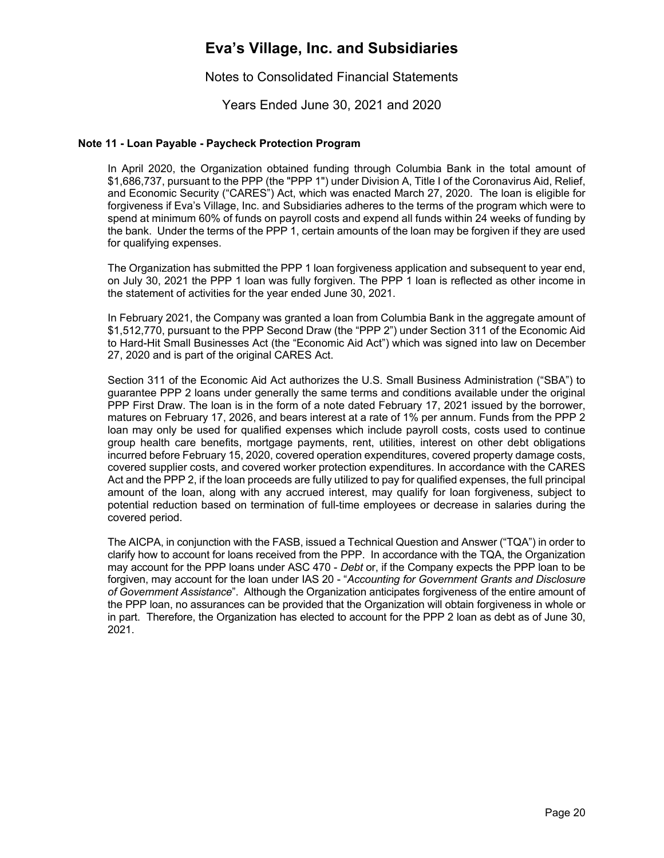Notes to Consolidated Financial Statements

Years Ended June 30, 2021 and 2020

#### **Note 11 - Loan Payable - Paycheck Protection Program**

In April 2020, the Organization obtained funding through Columbia Bank in the total amount of \$1,686,737, pursuant to the PPP (the "PPP 1") under Division A, Title I of the Coronavirus Aid, Relief, and Economic Security ("CARES") Act, which was enacted March 27, 2020. The loan is eligible for forgiveness if Eva's Village, Inc. and Subsidiaries adheres to the terms of the program which were to spend at minimum 60% of funds on payroll costs and expend all funds within 24 weeks of funding by the bank. Under the terms of the PPP 1, certain amounts of the loan may be forgiven if they are used for qualifying expenses.

The Organization has submitted the PPP 1 loan forgiveness application and subsequent to year end, on July 30, 2021 the PPP 1 loan was fully forgiven. The PPP 1 loan is reflected as other income in the statement of activities for the year ended June 30, 2021.

In February 2021, the Company was granted a loan from Columbia Bank in the aggregate amount of \$1,512,770, pursuant to the PPP Second Draw (the "PPP 2") under Section 311 of the Economic Aid to Hard-Hit Small Businesses Act (the "Economic Aid Act") which was signed into law on December 27, 2020 and is part of the original CARES Act.

Section 311 of the Economic Aid Act authorizes the U.S. Small Business Administration ("SBA") to guarantee PPP 2 loans under generally the same terms and conditions available under the original PPP First Draw. The loan is in the form of a note dated February 17, 2021 issued by the borrower, matures on February 17, 2026, and bears interest at a rate of 1% per annum. Funds from the PPP 2 loan may only be used for qualified expenses which include payroll costs, costs used to continue group health care benefits, mortgage payments, rent, utilities, interest on other debt obligations incurred before February 15, 2020, covered operation expenditures, covered property damage costs, covered supplier costs, and covered worker protection expenditures. In accordance with the CARES Act and the PPP 2, if the loan proceeds are fully utilized to pay for qualified expenses, the full principal amount of the loan, along with any accrued interest, may qualify for loan forgiveness, subject to potential reduction based on termination of full-time employees or decrease in salaries during the covered period.

The AICPA, in conjunction with the FASB, issued a Technical Question and Answer ("TQA") in order to clarify how to account for loans received from the PPP. In accordance with the TQA, the Organization may account for the PPP loans under ASC 470 - *Debt* or, if the Company expects the PPP loan to be forgiven, may account for the loan under IAS 20 - "*Accounting for Government Grants and Disclosure of Government Assistance*". Although the Organization anticipates forgiveness of the entire amount of the PPP loan, no assurances can be provided that the Organization will obtain forgiveness in whole or in part. Therefore, the Organization has elected to account for the PPP 2 loan as debt as of June 30, 2021.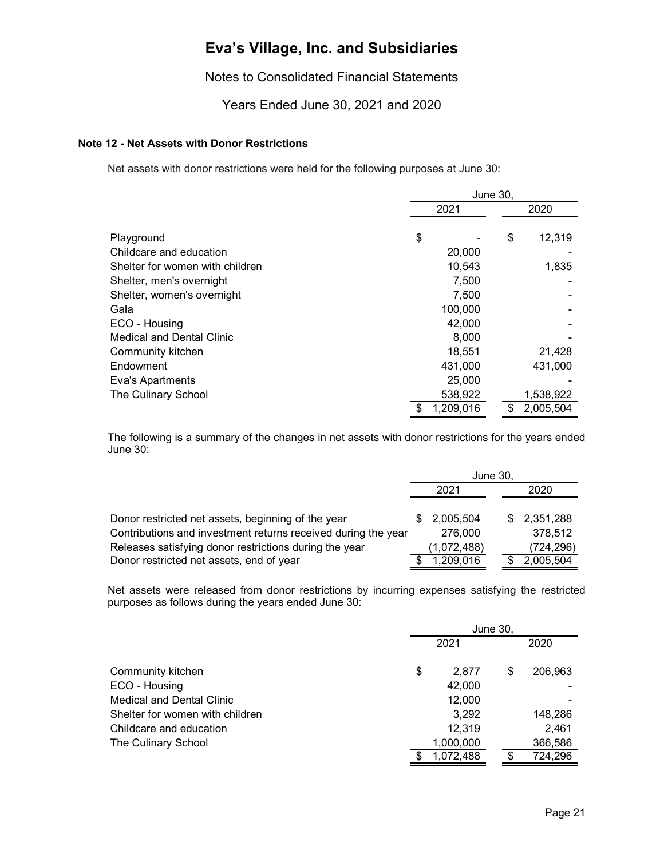Notes to Consolidated Financial Statements

Years Ended June 30, 2021 and 2020

#### **Note 12 - Net Assets with Donor Restrictions**

Net assets with donor restrictions were held for the following purposes at June 30:

|                                  |      | <b>June 30,</b> |    |           |  |
|----------------------------------|------|-----------------|----|-----------|--|
|                                  | 2021 |                 |    | 2020      |  |
| Playground                       | \$   |                 | \$ | 12,319    |  |
| Childcare and education          |      | 20,000          |    |           |  |
| Shelter for women with children  |      | 10,543          |    | 1,835     |  |
| Shelter, men's overnight         |      | 7,500           |    |           |  |
| Shelter, women's overnight       |      | 7,500           |    |           |  |
| Gala                             |      | 100,000         |    |           |  |
| ECO - Housing                    |      | 42,000          |    |           |  |
| <b>Medical and Dental Clinic</b> |      | 8,000           |    |           |  |
| Community kitchen                |      | 18,551          |    | 21,428    |  |
| Endowment                        |      | 431,000         |    | 431,000   |  |
| Eva's Apartments                 |      | 25,000          |    |           |  |
| The Culinary School              |      | 538,922         |    | 1,538,922 |  |
|                                  |      | 1,209,016       | \$ | 2,005,504 |  |

The following is a summary of the changes in net assets with donor restrictions for the years ended June 30:

|                                                               | June 30, |             |  |      |             |
|---------------------------------------------------------------|----------|-------------|--|------|-------------|
|                                                               | 2021     |             |  | 2020 |             |
|                                                               |          |             |  |      |             |
| Donor restricted net assets, beginning of the year            | \$.      | 2,005,504   |  |      | \$2,351,288 |
| Contributions and investment returns received during the year |          | 276,000     |  |      | 378,512     |
| Releases satisfying donor restrictions during the year        |          | (1,072,488) |  |      | (724, 296)  |
| Donor restricted net assets, end of year                      |          | 1,209,016   |  |      | 2,005,504   |

Net assets were released from donor restrictions by incurring expenses satisfying the restricted purposes as follows during the years ended June 30:

|                                  | June 30.    |   |         |  |  |
|----------------------------------|-------------|---|---------|--|--|
|                                  | 2021        |   | 2020    |  |  |
| Community kitchen                | \$<br>2.877 | S | 206,963 |  |  |
| ECO - Housing                    | 42,000      |   |         |  |  |
| <b>Medical and Dental Clinic</b> | 12,000      |   |         |  |  |
| Shelter for women with children  | 3,292       |   | 148,286 |  |  |
| Childcare and education          | 12,319      |   | 2,461   |  |  |
| The Culinary School              | 1,000,000   |   | 366,586 |  |  |
|                                  | 1,072,488   |   | 724,296 |  |  |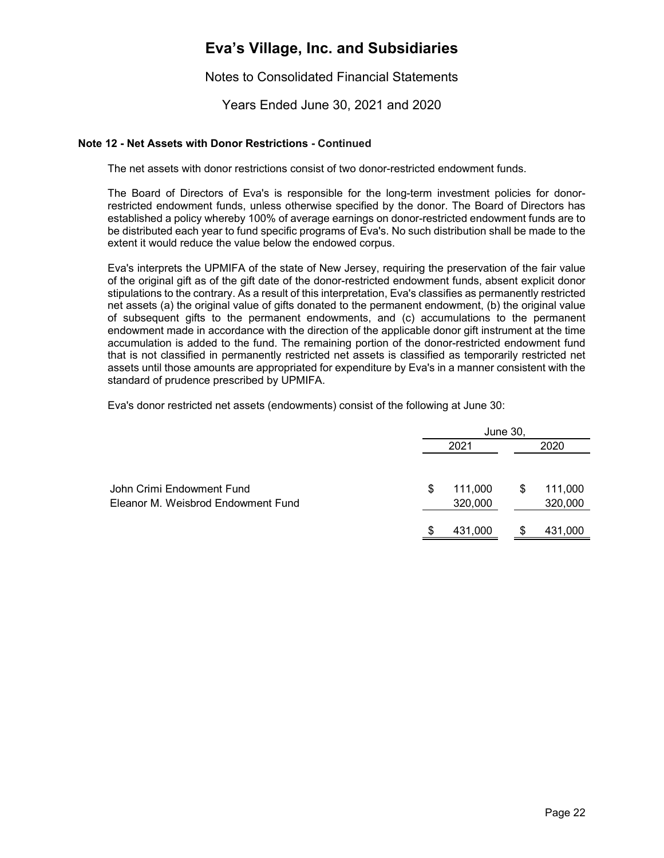Notes to Consolidated Financial Statements

Years Ended June 30, 2021 and 2020

#### **Note 12 - Net Assets with Donor Restrictions - Continued**

The net assets with donor restrictions consist of two donor-restricted endowment funds.

The Board of Directors of Eva's is responsible for the long-term investment policies for donorrestricted endowment funds, unless otherwise specified by the donor. The Board of Directors has established a policy whereby 100% of average earnings on donor-restricted endowment funds are to be distributed each year to fund specific programs of Eva's. No such distribution shall be made to the extent it would reduce the value below the endowed corpus.

Eva's interprets the UPMIFA of the state of New Jersey, requiring the preservation of the fair value of the original gift as of the gift date of the donor-restricted endowment funds, absent explicit donor stipulations to the contrary. As a result of this interpretation, Eva's classifies as permanently restricted net assets (a) the original value of gifts donated to the permanent endowment, (b) the original value of subsequent gifts to the permanent endowments, and (c) accumulations to the permanent endowment made in accordance with the direction of the applicable donor gift instrument at the time accumulation is added to the fund. The remaining portion of the donor-restricted endowment fund that is not classified in permanently restricted net assets is classified as temporarily restricted net assets until those amounts are appropriated for expenditure by Eva's in a manner consistent with the standard of prudence prescribed by UPMIFA.

Eva's donor restricted net assets (endowments) consist of the following at June 30:

|                                                                 |      | June 30,           |    |                    |  |  |
|-----------------------------------------------------------------|------|--------------------|----|--------------------|--|--|
|                                                                 | 2021 |                    |    |                    |  |  |
| John Crimi Endowment Fund<br>Eleanor M. Weisbrod Endowment Fund | S    | 111,000<br>320,000 | S  | 111,000<br>320,000 |  |  |
|                                                                 | S    | 431,000            | \$ | 431,000            |  |  |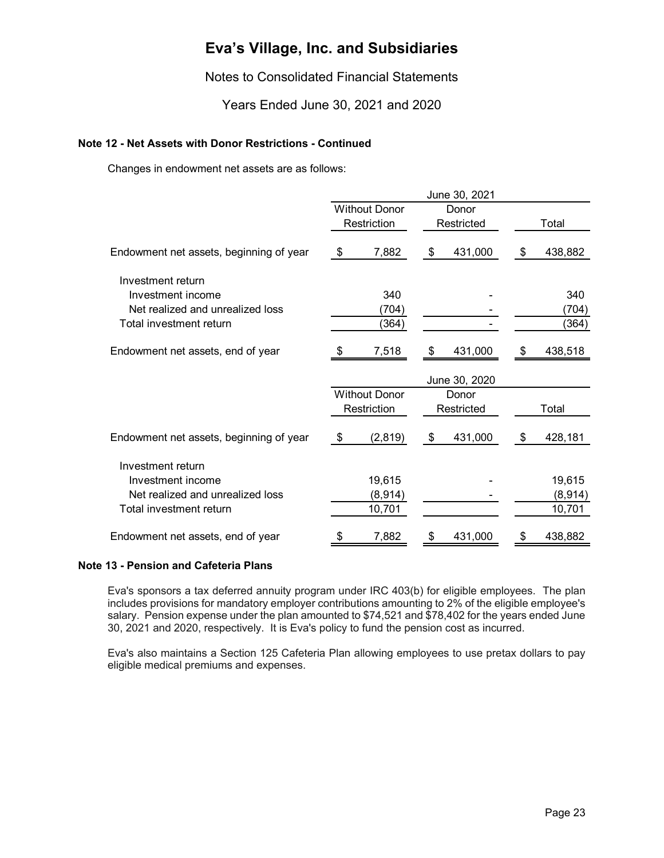Notes to Consolidated Financial Statements

Years Ended June 30, 2021 and 2020

#### **Note 12 - Net Assets with Donor Restrictions - Continued**

Changes in endowment net assets are as follows:

|                                         |                      |                      | June 30, 2021 |    |         |
|-----------------------------------------|----------------------|----------------------|---------------|----|---------|
|                                         | <b>Without Donor</b> |                      | Donor         |    |         |
|                                         |                      | Restriction          | Restricted    |    | Total   |
| Endowment net assets, beginning of year | \$                   | 7,882                | \$<br>431,000 | \$ | 438,882 |
| Investment return                       |                      |                      |               |    |         |
| Investment income                       |                      | 340                  |               |    | 340     |
| Net realized and unrealized loss        |                      | (704)                |               |    | (704)   |
| Total investment return                 |                      | (364)                |               |    | (364)   |
| Endowment net assets, end of year       |                      | 7,518                | \$<br>431,000 | \$ | 438,518 |
|                                         |                      |                      | June 30, 2020 |    |         |
|                                         |                      | <b>Without Donor</b> | Donor         |    |         |
|                                         |                      | Restriction          | Restricted    |    | Total   |
| Endowment net assets, beginning of year | \$                   | (2,819)              | \$<br>431,000 | \$ | 428,181 |
| Investment return                       |                      |                      |               |    |         |
| Investment income                       |                      | 19,615               |               |    | 19,615  |
|                                         |                      |                      |               |    |         |
|                                         |                      |                      |               |    |         |
| Net realized and unrealized loss        |                      | (8,914)              |               |    | (8,914) |
| Total investment return                 |                      | 10,701               |               |    | 10,701  |

#### **Note 13 - Pension and Cafeteria Plans**

Eva's sponsors a tax deferred annuity program under IRC 403(b) for eligible employees. The plan includes provisions for mandatory employer contributions amounting to 2% of the eligible employee's salary. Pension expense under the plan amounted to \$74,521 and \$78,402 for the years ended June 30, 2021 and 2020, respectively. It is Eva's policy to fund the pension cost as incurred.

Eva's also maintains a Section 125 Cafeteria Plan allowing employees to use pretax dollars to pay eligible medical premiums and expenses.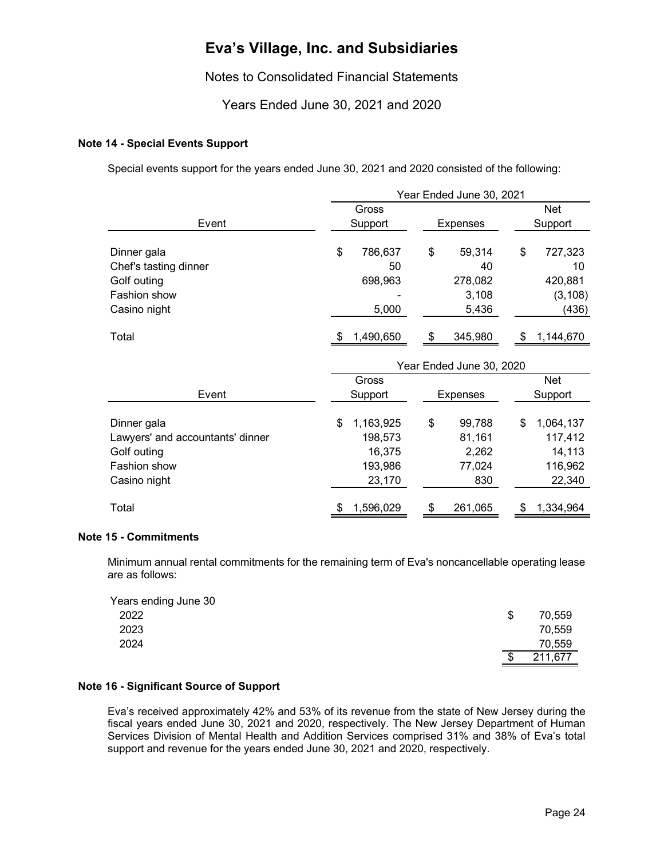Notes to Consolidated Financial Statements

Years Ended June 30, 2021 and 2020

#### **Note 14 - Special Events Support**

Special events support for the years ended June 30, 2021 and 2020 consisted of the following:

|                                  | Year Ended June 30, 2021 |                 |                 |  |  |  |
|----------------------------------|--------------------------|-----------------|-----------------|--|--|--|
|                                  | Gross                    |                 | <b>Net</b>      |  |  |  |
| Event                            | Support                  | <b>Expenses</b> | Support         |  |  |  |
| Dinner gala                      | \$<br>786,637            | \$<br>59,314    | \$<br>727,323   |  |  |  |
| Chef's tasting dinner            | 50                       | 40              | 10              |  |  |  |
| Golf outing                      | 698,963                  | 278,082         | 420,881         |  |  |  |
| Fashion show                     |                          | 3,108           | (3, 108)        |  |  |  |
| Casino night                     | 5,000                    | 5,436           | (436)           |  |  |  |
| Total                            | 1,490,650                | 345,980<br>\$   | 1,144,670       |  |  |  |
|                                  | Year Ended June 30, 2020 |                 |                 |  |  |  |
|                                  | Gross                    |                 | Net             |  |  |  |
| Event                            | Support                  | Expenses        | Support         |  |  |  |
| Dinner gala                      | \$<br>1,163,925          | \$<br>99,788    | \$<br>1,064,137 |  |  |  |
| Lawyers' and accountants' dinner | 198,573                  | 81,161          | 117,412         |  |  |  |
| Golf outing                      | 16,375                   | 2,262           | 14,113          |  |  |  |
| Fashion show                     | 193,986                  | 77,024          | 116,962         |  |  |  |
| Casino night                     | 23,170                   | 830             | 22,340          |  |  |  |
| Total                            |                          |                 |                 |  |  |  |

#### **Note 15 - Commitments**

Minimum annual rental commitments for the remaining term of Eva's noncancellable operating lease are as follows:

| Years ending June 30 |   |         |
|----------------------|---|---------|
| 2022                 | S | 70,559  |
| 2023                 |   | 70,559  |
| 2024                 |   | 70,559  |
|                      |   | 211,677 |

#### **Note 16 - Significant Source of Support**

Eva's received approximately 42% and 53% of its revenue from the state of New Jersey during the fiscal years ended June 30, 2021 and 2020, respectively. The New Jersey Department of Human Services Division of Mental Health and Addition Services comprised 31% and 38% of Eva's total support and revenue for the years ended June 30, 2021 and 2020, respectively.